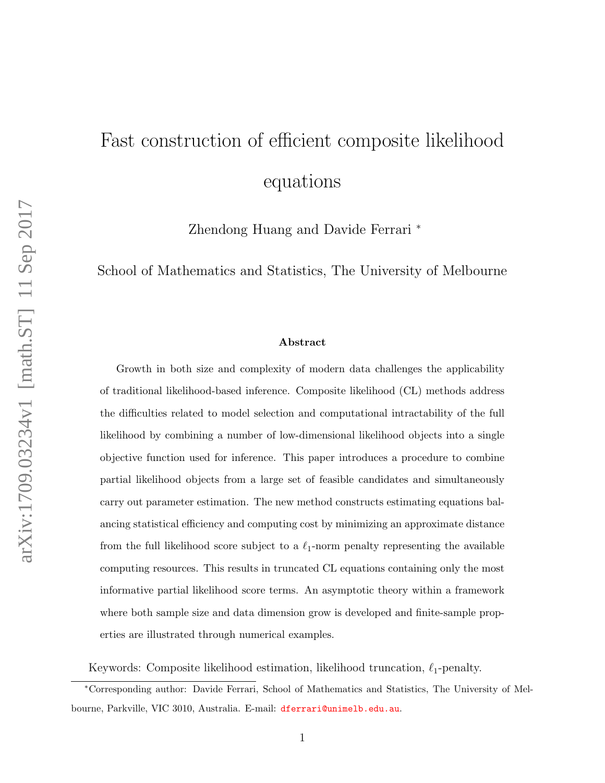# Fast construction of efficient composite likelihood equations

Zhendong Huang and Davide Ferrari <sup>∗</sup>

School of Mathematics and Statistics, The University of Melbourne

#### Abstract

Growth in both size and complexity of modern data challenges the applicability of traditional likelihood-based inference. Composite likelihood (CL) methods address the difficulties related to model selection and computational intractability of the full likelihood by combining a number of low-dimensional likelihood objects into a single objective function used for inference. This paper introduces a procedure to combine partial likelihood objects from a large set of feasible candidates and simultaneously carry out parameter estimation. The new method constructs estimating equations balancing statistical efficiency and computing cost by minimizing an approximate distance from the full likelihood score subject to a  $\ell_1$ -norm penalty representing the available computing resources. This results in truncated CL equations containing only the most informative partial likelihood score terms. An asymptotic theory within a framework where both sample size and data dimension grow is developed and finite-sample properties are illustrated through numerical examples.

Keywords: Composite likelihood estimation, likelihood truncation,  $\ell_1$ -penalty.

<sup>∗</sup>Corresponding author: Davide Ferrari, School of Mathematics and Statistics, The University of Melbourne, Parkville, VIC 3010, Australia. E-mail: <dferrari@unimelb.edu.au>.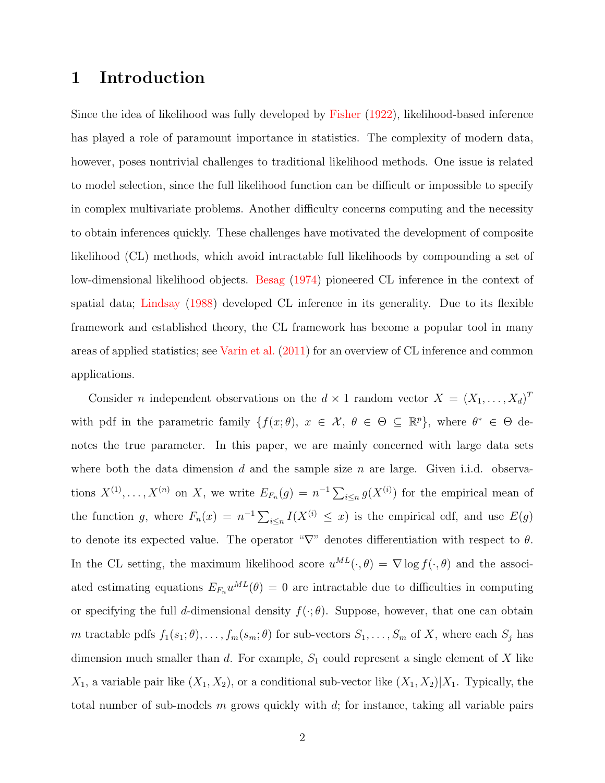## 1 Introduction

Since the idea of likelihood was fully developed by [Fisher](#page-32-0) [\(1922\)](#page-32-0), likelihood-based inference has played a role of paramount importance in statistics. The complexity of modern data, however, poses nontrivial challenges to traditional likelihood methods. One issue is related to model selection, since the full likelihood function can be difficult or impossible to specify in complex multivariate problems. Another difficulty concerns computing and the necessity to obtain inferences quickly. These challenges have motivated the development of composite likelihood (CL) methods, which avoid intractable full likelihoods by compounding a set of low-dimensional likelihood objects. [Besag](#page-31-0) [\(1974\)](#page-31-0) pioneered CL inference in the context of spatial data; [Lindsay](#page-32-1) [\(1988\)](#page-32-1) developed CL inference in its generality. Due to its flexible framework and established theory, the CL framework has become a popular tool in many areas of applied statistics; see [Varin et al.](#page-33-0) [\(2011\)](#page-33-0) for an overview of CL inference and common applications.

Consider *n* independent observations on the  $d \times 1$  random vector  $X = (X_1, \ldots, X_d)^T$ with pdf in the parametric family  $\{f(x; \theta), x \in \mathcal{X}, \theta \in \Theta \subseteq \mathbb{R}^p\}$ , where  $\theta^* \in \Theta$  denotes the true parameter. In this paper, we are mainly concerned with large data sets where both the data dimension d and the sample size n are large. Given i.i.d. observations  $X^{(1)}, \ldots, X^{(n)}$  on X, we write  $E_{F_n}(g) = n^{-1} \sum_{i \leq n} g(X^{(i)})$  for the empirical mean of the function g, where  $F_n(x) = n^{-1} \sum_{i \leq n} I(X^{(i)} \leq x)$  is the empirical cdf, and use  $E(g)$ to denote its expected value. The operator " $\nabla$ " denotes differentiation with respect to  $\theta$ . In the CL setting, the maximum likelihood score  $u^{ML}(\cdot,\theta) = \nabla \log f(\cdot,\theta)$  and the associated estimating equations  $E_{F_n}u^{ML}(\theta) = 0$  are intractable due to difficulties in computing or specifying the full d-dimensional density  $f(\cdot; \theta)$ . Suppose, however, that one can obtain m tractable pdfs  $f_1(s_1; \theta), \ldots, f_m(s_m; \theta)$  for sub-vectors  $S_1, \ldots, S_m$  of X, where each  $S_j$  has dimension much smaller than  $d$ . For example,  $S_1$  could represent a single element of X like  $X_1$ , a variable pair like  $(X_1, X_2)$ , or a conditional sub-vector like  $(X_1, X_2)|X_1$ . Typically, the total number of sub-models  $m$  grows quickly with  $d$ ; for instance, taking all variable pairs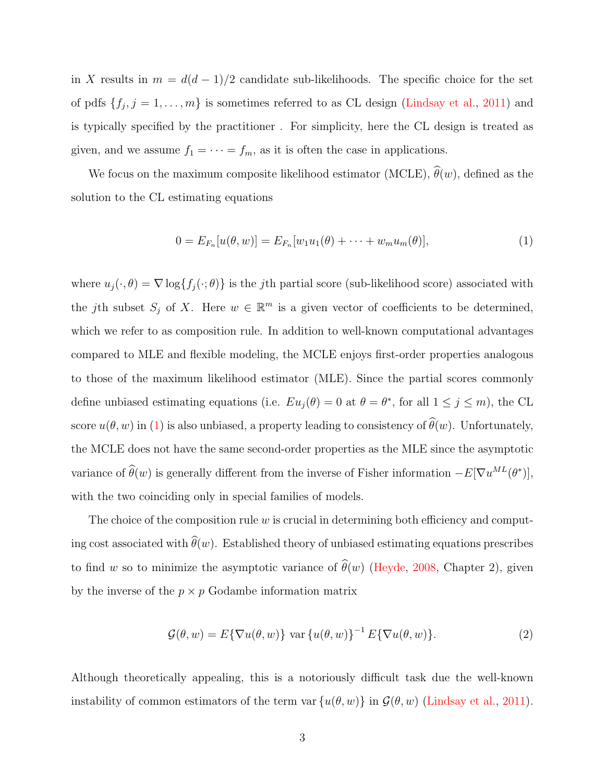in X results in  $m = d(d-1)/2$  candidate sub-likelihoods. The specific choice for the set of pdfs  $\{f_j, j = 1, \ldots, m\}$  is sometimes referred to as CL design [\(Lindsay et al.,](#page-33-1) [2011\)](#page-33-1) and is typically specified by the practitioner . For simplicity, here the CL design is treated as given, and we assume  $f_1 = \cdots = f_m$ , as it is often the case in applications.

We focus on the maximum composite likelihood estimator (MCLE),  $\hat{\theta}(w)$ , defined as the solution to the CL estimating equations

<span id="page-2-0"></span>
$$
0 = E_{F_n}[u(\theta, w)] = E_{F_n}[w_1u_1(\theta) + \dots + w_mu_m(\theta)],
$$
\n(1)

where  $u_j(\cdot, \theta) = \nabla \log \{f_j(\cdot; \theta)\}\$ is the *j*th partial score (sub-likelihood score) associated with the jth subset  $S_j$  of X. Here  $w \in \mathbb{R}^m$  is a given vector of coefficients to be determined, which we refer to as composition rule. In addition to well-known computational advantages compared to MLE and flexible modeling, the MCLE enjoys first-order properties analogous to those of the maximum likelihood estimator (MLE). Since the partial scores commonly define unbiased estimating equations (i.e.  $Eu_j(\theta) = 0$  at  $\theta = \theta^*$ , for all  $1 \leq j \leq m$ ), the CL score  $u(\theta, w)$  in [\(1\)](#page-2-0) is also unbiased, a property leading to consistency of  $\widehat{\theta}(w)$ . Unfortunately, the MCLE does not have the same second-order properties as the MLE since the asymptotic variance of  $\hat{\theta}(w)$  is generally different from the inverse of Fisher information  $-E[\nabla u^{ML}(\theta^*)],$ with the two coinciding only in special families of models.

The choice of the composition rule  $w$  is crucial in determining both efficiency and computing cost associated with  $\widehat{\theta}(w)$ . Established theory of unbiased estimating equations prescribes to find w so to minimize the asymptotic variance of  $\hat{\theta}(w)$  [\(Heyde,](#page-32-2) [2008,](#page-32-2) Chapter 2), given by the inverse of the  $p \times p$  Godambe information matrix

$$
\mathcal{G}(\theta, w) = E\{\nabla u(\theta, w)\} \text{ var } \{u(\theta, w)\}^{-1} E\{\nabla u(\theta, w)\}.
$$
\n(2)

Although theoretically appealing, this is a notoriously difficult task due the well-known instability of common estimators of the term var  $\{u(\theta, w)\}\$ in  $\mathcal{G}(\theta, w)$  [\(Lindsay et al.,](#page-33-1) [2011\)](#page-33-1).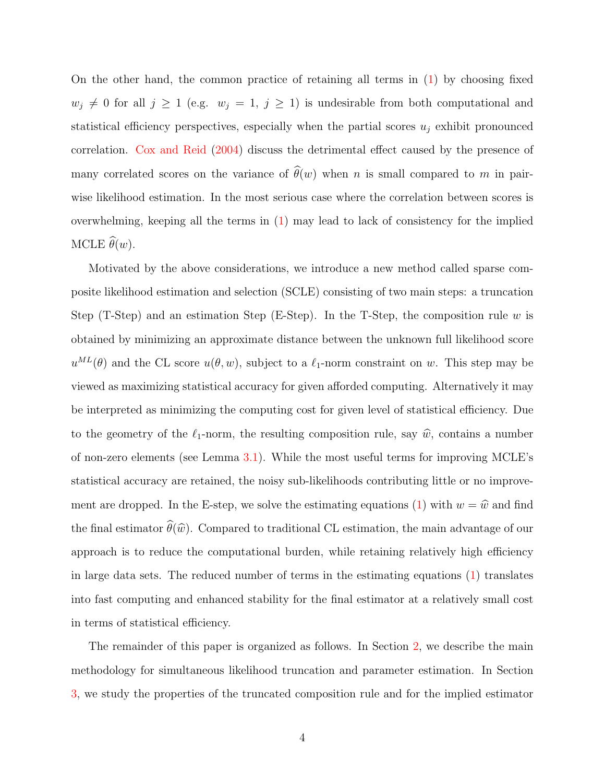On the other hand, the common practice of retaining all terms in [\(1\)](#page-2-0) by choosing fixed  $w_j \neq 0$  for all  $j \geq 1$  (e.g.  $w_j = 1, j \geq 1$ ) is undesirable from both computational and statistical efficiency perspectives, especially when the partial scores  $u_j$  exhibit pronounced correlation. [Cox and Reid](#page-32-3) [\(2004\)](#page-32-3) discuss the detrimental effect caused by the presence of many correlated scores on the variance of  $\hat{\theta}(w)$  when n is small compared to m in pairwise likelihood estimation. In the most serious case where the correlation between scores is overwhelming, keeping all the terms in [\(1\)](#page-2-0) may lead to lack of consistency for the implied MCLE  $\widehat{\theta}(w)$ .

Motivated by the above considerations, we introduce a new method called sparse composite likelihood estimation and selection (SCLE) consisting of two main steps: a truncation Step (T-Step) and an estimation Step (E-Step). In the T-Step, the composition rule w is obtained by minimizing an approximate distance between the unknown full likelihood score  $u^{ML}(\theta)$  and the CL score  $u(\theta, w)$ , subject to a  $\ell_1$ -norm constraint on w. This step may be viewed as maximizing statistical accuracy for given afforded computing. Alternatively it may be interpreted as minimizing the computing cost for given level of statistical efficiency. Due to the geometry of the  $\ell_1$ -norm, the resulting composition rule, say  $\hat{w}$ , contains a number of non-zero elements (see Lemma [3.1\)](#page-10-0). While the most useful terms for improving MCLE's statistical accuracy are retained, the noisy sub-likelihoods contributing little or no improve-ment are dropped. In the E-step, we solve the estimating equations [\(1\)](#page-2-0) with  $w = \hat{w}$  and find the final estimator  $\widehat{\theta}(\widehat{w})$ . Compared to traditional CL estimation, the main advantage of our approach is to reduce the computational burden, while retaining relatively high efficiency in large data sets. The reduced number of terms in the estimating equations [\(1\)](#page-2-0) translates into fast computing and enhanced stability for the final estimator at a relatively small cost in terms of statistical efficiency.

The remainder of this paper is organized as follows. In Section [2,](#page-4-0) we describe the main methodology for simultaneous likelihood truncation and parameter estimation. In Section [3,](#page-9-0) we study the properties of the truncated composition rule and for the implied estimator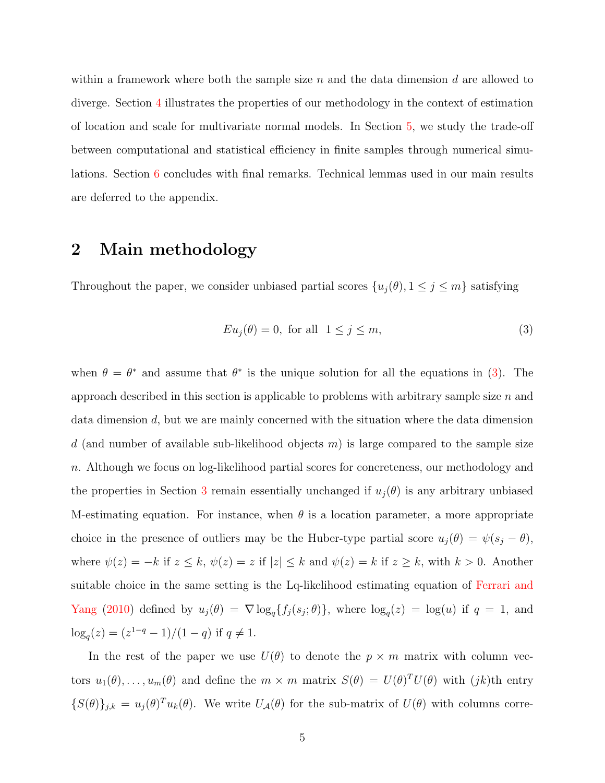within a framework where both the sample size n and the data dimension d are allowed to diverge. Section [4](#page-17-0) illustrates the properties of our methodology in the context of estimation of location and scale for multivariate normal models. In Section [5,](#page-22-0) we study the trade-off between computational and statistical efficiency in finite samples through numerical simulations. Section [6](#page-26-0) concludes with final remarks. Technical lemmas used in our main results are deferred to the appendix.

## <span id="page-4-0"></span>2 Main methodology

Throughout the paper, we consider unbiased partial scores  $\{u_j(\theta), 1 \le j \le m\}$  satisfying

<span id="page-4-1"></span>
$$
Eu_j(\theta) = 0, \text{ for all } 1 \le j \le m,
$$
\n<sup>(3)</sup>

when  $\theta = \theta^*$  and assume that  $\theta^*$  is the unique solution for all the equations in [\(3\)](#page-4-1). The approach described in this section is applicable to problems with arbitrary sample size  $n$  and data dimension d, but we are mainly concerned with the situation where the data dimension d (and number of available sub-likelihood objects  $m$ ) is large compared to the sample size n. Although we focus on log-likelihood partial scores for concreteness, our methodology and the properties in Section [3](#page-9-0) remain essentially unchanged if  $u_j(\theta)$  is any arbitrary unbiased M-estimating equation. For instance, when  $\theta$  is a location parameter, a more appropriate choice in the presence of outliers may be the Huber-type partial score  $u_j(\theta) = \psi(s_j - \theta)$ , where  $\psi(z) = -k$  if  $z \le k$ ,  $\psi(z) = z$  if  $|z| \le k$  and  $\psi(z) = k$  if  $z \ge k$ , with  $k > 0$ . Another suitable choice in the same setting is the Lq-likelihood estimating equation of [Ferrari and](#page-32-4) [Yang](#page-32-4) [\(2010\)](#page-32-4) defined by  $u_j(\theta) = \nabla \log_q \{f_j(s_j;\theta)\}\$ , where  $\log_q(z) = \log(u)$  if  $q = 1$ , and  $\log_q(z) = (z^{1-q} - 1)/(1-q)$  if  $q \neq 1$ .

In the rest of the paper we use  $U(\theta)$  to denote the  $p \times m$  matrix with column vectors  $u_1(\theta), \ldots, u_m(\theta)$  and define the  $m \times m$  matrix  $S(\theta) = U(\theta)^T U(\theta)$  with  $(jk)$ th entry  $\{S(\theta)\}_{j,k} = u_j(\theta)^T u_k(\theta)$ . We write  $U_A(\theta)$  for the sub-matrix of  $U(\theta)$  with columns corre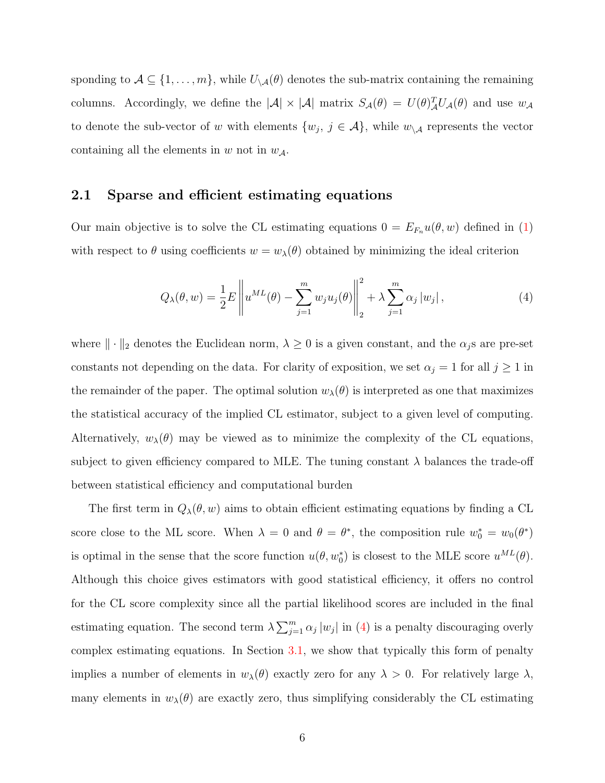sponding to  $A \subseteq \{1, \ldots, m\}$ , while  $U_{\setminus A}(\theta)$  denotes the sub-matrix containing the remaining columns. Accordingly, we define the  $|\mathcal{A}| \times |\mathcal{A}|$  matrix  $S_{\mathcal{A}}(\theta) = U(\theta)_{\mathcal{A}}^T U_{\mathcal{A}}(\theta)$  and use  $w_{\mathcal{A}}$ to denote the sub-vector of w with elements  $\{w_j, j \in \mathcal{A}\}$ , while  $w_{\setminus \mathcal{A}}$  represents the vector containing all the elements in w not in  $w_{\mathcal{A}}$ .

#### 2.1 Sparse and efficient estimating equations

Our main objective is to solve the CL estimating equations  $0 = E_{F_n}u(\theta, w)$  defined in [\(1\)](#page-2-0) with respect to  $\theta$  using coefficients  $w = w_\lambda(\theta)$  obtained by minimizing the ideal criterion

<span id="page-5-0"></span>
$$
Q_{\lambda}(\theta, w) = \frac{1}{2} E \left\| u^{ML}(\theta) - \sum_{j=1}^{m} w_j u_j(\theta) \right\|_{2}^{2} + \lambda \sum_{j=1}^{m} \alpha_j |w_j|,
$$
 (4)

where  $\|\cdot\|_2$  denotes the Euclidean norm,  $\lambda \geq 0$  is a given constant, and the  $\alpha_j$ s are pre-set constants not depending on the data. For clarity of exposition, we set  $\alpha_j = 1$  for all  $j \ge 1$  in the remainder of the paper. The optimal solution  $w_{\lambda}(\theta)$  is interpreted as one that maximizes the statistical accuracy of the implied CL estimator, subject to a given level of computing. Alternatively,  $w_{\lambda}(\theta)$  may be viewed as to minimize the complexity of the CL equations, subject to given efficiency compared to MLE. The tuning constant  $\lambda$  balances the trade-off between statistical efficiency and computational burden

The first term in  $Q_{\lambda}(\theta, w)$  aims to obtain efficient estimating equations by finding a CL score close to the ML score. When  $\lambda = 0$  and  $\theta = \theta^*$ , the composition rule  $w_0^* = w_0(\theta^*)$ is optimal in the sense that the score function  $u(\theta, w_0^*)$  is closest to the MLE score  $u^{ML}(\theta)$ . Although this choice gives estimators with good statistical efficiency, it offers no control for the CL score complexity since all the partial likelihood scores are included in the final estimating equation. The second term  $\lambda \sum_{j=1}^{m} \alpha_j |w_j|$  in [\(4\)](#page-5-0) is a penalty discouraging overly complex estimating equations. In Section [3.1,](#page-10-1) we show that typically this form of penalty implies a number of elements in  $w_\lambda(\theta)$  exactly zero for any  $\lambda > 0$ . For relatively large  $\lambda$ , many elements in  $w_{\lambda}(\theta)$  are exactly zero, thus simplifying considerably the CL estimating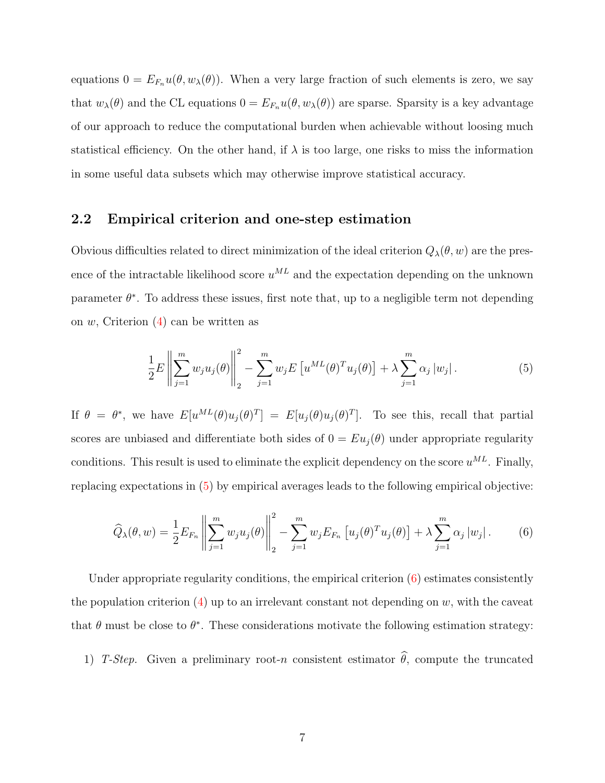equations  $0 = E_{F_n}u(\theta, w_\lambda(\theta))$ . When a very large fraction of such elements is zero, we say that  $w_{\lambda}(\theta)$  and the CL equations  $0 = E_{F_n}u(\theta, w_{\lambda}(\theta))$  are sparse. Sparsity is a key advantage of our approach to reduce the computational burden when achievable without loosing much statistical efficiency. On the other hand, if  $\lambda$  is too large, one risks to miss the information in some useful data subsets which may otherwise improve statistical accuracy.

#### 2.2 Empirical criterion and one-step estimation

Obvious difficulties related to direct minimization of the ideal criterion  $Q_{\lambda}(\theta, w)$  are the presence of the intractable likelihood score  $u^{ML}$  and the expectation depending on the unknown parameter  $\theta^*$ . To address these issues, first note that, up to a negligible term not depending on w, Criterion [\(4\)](#page-5-0) can be written as

<span id="page-6-1"></span><span id="page-6-0"></span>
$$
\frac{1}{2}E\left\|\sum_{j=1}^{m} w_j u_j(\theta)\right\|_{2}^{2} - \sum_{j=1}^{m} w_j E\left[u^{ML}(\theta)^{T} u_j(\theta)\right] + \lambda \sum_{j=1}^{m} \alpha_j |w_j|.
$$
\n(5)

If  $\theta = \theta^*$ , we have  $E[u^{ML}(\theta)u_j(\theta)^T] = E[u_j(\theta)u_j(\theta)^T]$ . To see this, recall that partial scores are unbiased and differentiate both sides of  $0 = Eu_j(\theta)$  under appropriate regularity conditions. This result is used to eliminate the explicit dependency on the score  $u^{ML}$ . Finally, replacing expectations in [\(5\)](#page-6-0) by empirical averages leads to the following empirical objective:

$$
\widehat{Q}_{\lambda}(\theta, w) = \frac{1}{2} E_{F_n} \left\| \sum_{j=1}^{m} w_j u_j(\theta) \right\|_2^2 - \sum_{j=1}^{m} w_j E_{F_n} \left[ u_j(\theta)^T u_j(\theta) \right] + \lambda \sum_{j=1}^{m} \alpha_j |w_j|.
$$
 (6)

Under appropriate regularity conditions, the empirical criterion [\(6\)](#page-6-1) estimates consistently the population criterion  $(4)$  up to an irrelevant constant not depending on w, with the caveat that  $\theta$  must be close to  $\theta^*$ . These considerations motivate the following estimation strategy:

1) T-Step. Given a preliminary root-n consistent estimator  $\hat{\theta}$ , compute the truncated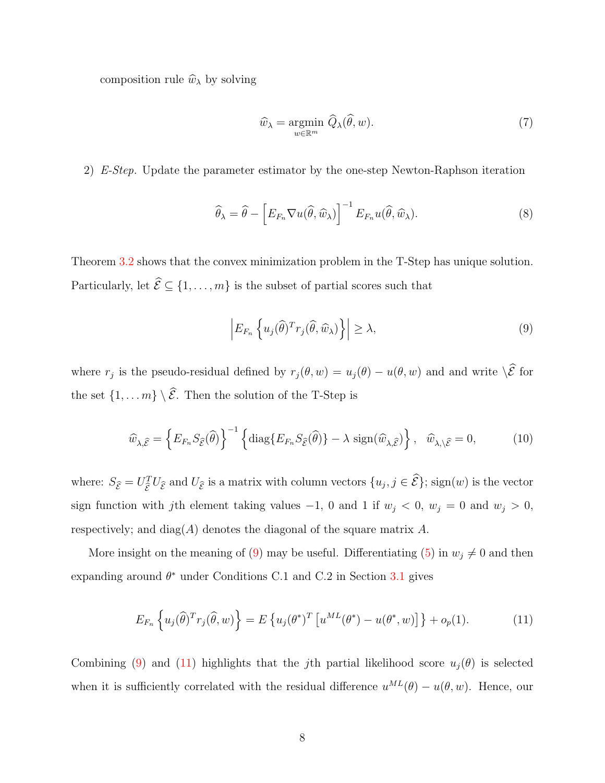composition rule  $\widehat{w}_{\lambda}$  by solving

<span id="page-7-4"></span>
$$
\widehat{w}_{\lambda} = \underset{w \in \mathbb{R}^m}{\operatorname{argmin}} \ \widehat{Q}_{\lambda}(\widehat{\theta}, w). \tag{7}
$$

2) E-Step. Update the parameter estimator by the one-step Newton-Raphson iteration

<span id="page-7-3"></span>
$$
\widehat{\theta}_{\lambda} = \widehat{\theta} - \left[ E_{F_n} \nabla u(\widehat{\theta}, \widehat{w}_{\lambda}) \right]^{-1} E_{F_n} u(\widehat{\theta}, \widehat{w}_{\lambda}). \tag{8}
$$

Theorem [3.2](#page-12-0) shows that the convex minimization problem in the T-Step has unique solution. Particularly, let  $\widehat{\mathcal{E}} \subseteq \{1, \ldots, m\}$  is the subset of partial scores such that

<span id="page-7-0"></span>
$$
\left| E_{F_n} \left\{ u_j(\widehat{\theta})^T r_j(\widehat{\theta}, \widehat{w}_\lambda) \right\} \right| \ge \lambda,
$$
\n(9)

where  $r_j$  is the pseudo-residual defined by  $r_j(\theta, w) = u_j(\theta) - u(\theta, w)$  and and write  $\setminus \mathcal{E}$  for the set  $\{1, \ldots m\} \setminus \widehat{\mathcal{E}}$ . Then the solution of the T-Step is

<span id="page-7-2"></span>
$$
\widehat{w}_{\lambda,\widehat{\mathcal{E}}} = \left\{ E_{F_n} S_{\widehat{\mathcal{E}}}(\widehat{\theta}) \right\}^{-1} \left\{ \text{diag}\{ E_{F_n} S_{\widehat{\mathcal{E}}}(\widehat{\theta}) \} - \lambda \, \text{sign}(\widehat{w}_{\lambda,\widehat{\mathcal{E}}}) \right\}, \quad \widehat{w}_{\lambda,\setminus \widehat{\mathcal{E}}} = 0, \tag{10}
$$

where:  $S_{\hat{\mathcal{E}}} = U_{\hat{\mathcal{E}}}^T U_{\hat{\mathcal{E}}}$  and  $U_{\hat{\mathcal{E}}}$  is a matrix with column vectors  $\{u_j, j \in \hat{\mathcal{E}}\}$ ; sign(w) is the vector sign function with jth element taking values  $-1$ , 0 and 1 if  $w_j < 0$ ,  $w_j = 0$  and  $w_j > 0$ , respectively; and  $diag(A)$  denotes the diagonal of the square matrix A.

More insight on the meaning of [\(9\)](#page-7-0) may be useful. Differentiating [\(5\)](#page-6-0) in  $w_j \neq 0$  and then expanding around  $\theta^*$  under Conditions C.1 and C.2 in Section [3.1](#page-10-1) gives

<span id="page-7-1"></span>
$$
E_{F_n}\left\{u_j(\widehat{\theta})^T r_j(\widehat{\theta},w)\right\} = E\left\{u_j(\theta^*)^T \left[u^{ML}(\theta^*) - u(\theta^*,w)\right]\right\} + o_p(1).
$$
 (11)

Combining [\(9\)](#page-7-0) and [\(11\)](#page-7-1) highlights that the jth partial likelihood score  $u_i(\theta)$  is selected when it is sufficiently correlated with the residual difference  $u^{ML}(\theta) - u(\theta, w)$ . Hence, our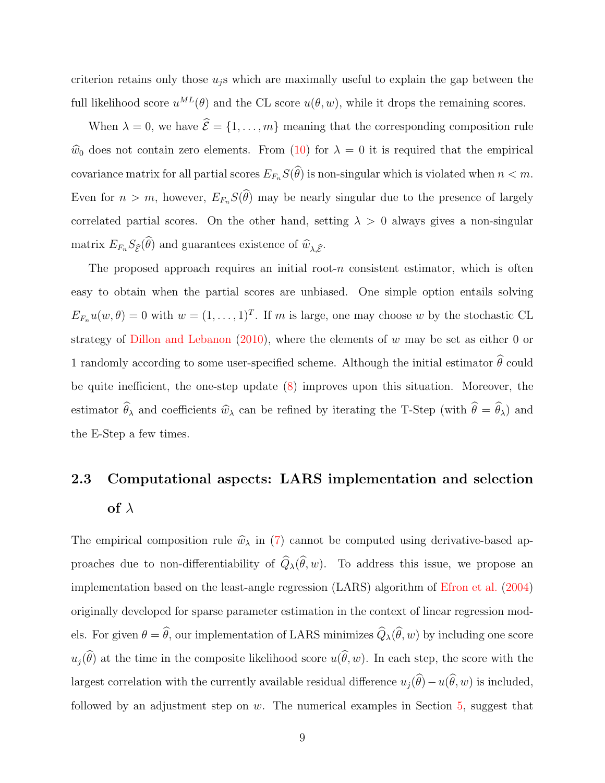criterion retains only those  $u_j$ s which are maximally useful to explain the gap between the full likelihood score  $u^{ML}(\theta)$  and the CL score  $u(\theta, w)$ , while it drops the remaining scores.

When  $\lambda = 0$ , we have  $\widehat{\mathcal{E}} = \{1, ..., m\}$  meaning that the corresponding composition rule  $\hat{w}_0$  does not contain zero elements. From [\(10\)](#page-7-2) for  $\lambda = 0$  it is required that the empirical covariance matrix for all partial scores  $E_{F_n} S(\widehat{\theta})$  is non-singular which is violated when  $n < m$ . Even for  $n > m$ , however,  $E_{F_n} S(\widehat{\theta})$  may be nearly singular due to the presence of largely correlated partial scores. On the other hand, setting  $\lambda > 0$  always gives a non-singular matrix  $E_{F_n} S_{\widehat{\mathcal{E}}}(\widehat{\theta})$  and guarantees existence of  $\widehat{w}_{\lambda,\widehat{\mathcal{E}}}$ .

The proposed approach requires an initial root- $n$  consistent estimator, which is often easy to obtain when the partial scores are unbiased. One simple option entails solving  $E_{F_n}u(w, \theta) = 0$  with  $w = (1, \ldots, 1)^T$ . If m is large, one may choose w by the stochastic CL strategy of [Dillon and Lebanon](#page-32-5)  $(2010)$ , where the elements of w may be set as either 0 or 1 randomly according to some user-specified scheme. Although the initial estimator  $\hat{\theta}$  could be quite inefficient, the one-step update [\(8\)](#page-7-3) improves upon this situation. Moreover, the estimator  $\widehat{\theta}_{\lambda}$  and coefficients  $\widehat{w}_{\lambda}$  can be refined by iterating the T-Step (with  $\widehat{\theta} = \widehat{\theta}_{\lambda}$ ) and the E-Step a few times.

## <span id="page-8-0"></span>2.3 Computational aspects: LARS implementation and selection of  $\lambda$

The empirical composition rule  $\hat{w}_{\lambda}$  in [\(7\)](#page-7-4) cannot be computed using derivative-based approaches due to non-differentiability of  $\widehat{Q}_{\lambda}(\widehat{\theta}, w)$ . To address this issue, we propose an implementation based on the least-angle regression (LARS) algorithm of [Efron et al.](#page-32-6) [\(2004\)](#page-32-6) originally developed for sparse parameter estimation in the context of linear regression models. For given  $\theta = \hat{\theta}$ , our implementation of LARS minimizes  $\hat{Q}_{\lambda}(\hat{\theta}, w)$  by including one score  $u_i(\widehat{\theta})$  at the time in the composite likelihood score  $u(\widehat{\theta}, w)$ . In each step, the score with the largest correlation with the currently available residual difference  $u_j(\hat{\theta}) - u(\hat{\theta}, w)$  is included, followed by an adjustment step on  $w$ . The numerical examples in Section [5,](#page-22-0) suggest that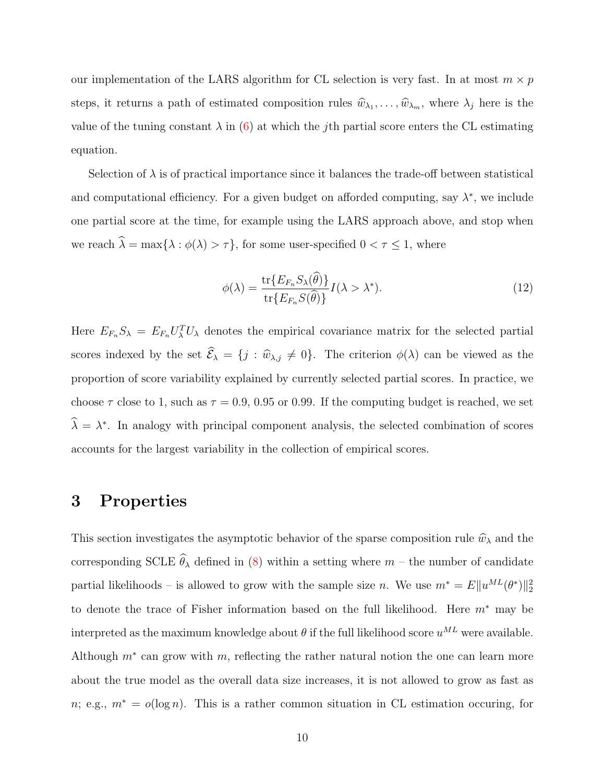our implementation of the LARS algorithm for CL selection is very fast. In at most  $m \times p$ steps, it returns a path of estimated composition rules  $\hat{w}_{\lambda_1}, \dots, \hat{w}_{\lambda_m}$ , where  $\lambda_j$  here is the value of the tuning constant  $\lambda$  in [\(6\)](#page-6-1) at which the jth partial score enters the CL estimating equation.

Selection of  $\lambda$  is of practical importance since it balances the trade-off between statistical and computational efficiency. For a given budget on afforded computing, say  $\lambda^*$ , we include one partial score at the time, for example using the LARS approach above, and stop when we reach  $\widehat{\lambda} = \max\{\lambda : \phi(\lambda) > \tau\},$  for some user-specified  $0 < \tau \leq 1,$  where

<span id="page-9-1"></span>
$$
\phi(\lambda) = \frac{\text{tr}\{E_{F_n} S_{\lambda}(\hat{\theta})\}}{\text{tr}\{E_{F_n} S(\hat{\theta})\}} I(\lambda > \lambda^*).
$$
\n(12)

Here  $E_{F_n} S_\lambda = E_{F_n} U_\lambda^T U_\lambda$  denotes the empirical covariance matrix for the selected partial scores indexed by the set  $\widehat{\mathcal{E}}_{\lambda} = \{j : \widehat{w}_{\lambda,j} \neq 0\}$ . The criterion  $\phi(\lambda)$  can be viewed as the proportion of score variability explained by currently selected partial scores. In practice, we choose  $\tau$  close to 1, such as  $\tau = 0.9, 0.95$  or 0.99. If the computing budget is reached, we set  $\hat{\lambda} = \lambda^*$ . In analogy with principal component analysis, the selected combination of scores accounts for the largest variability in the collection of empirical scores.

## <span id="page-9-0"></span>3 Properties

This section investigates the asymptotic behavior of the sparse composition rule  $\hat{w}_{\lambda}$  and the corresponding SCLE  $\hat{\theta}_{\lambda}$  defined in [\(8\)](#page-7-3) within a setting where  $m$  – the number of candidate partial likelihoods – is allowed to grow with the sample size *n*. We use  $m^* = E||u^{ML}(\theta^*)||_2^2$ to denote the trace of Fisher information based on the full likelihood. Here m<sup>∗</sup> may be interpreted as the maximum knowledge about  $\theta$  if the full likelihood score  $u^{ML}$  were available. Although  $m^*$  can grow with  $m$ , reflecting the rather natural notion the one can learn more about the true model as the overall data size increases, it is not allowed to grow as fast as n; e.g.,  $m^* = o(\log n)$ . This is a rather common situation in CL estimation occuring, for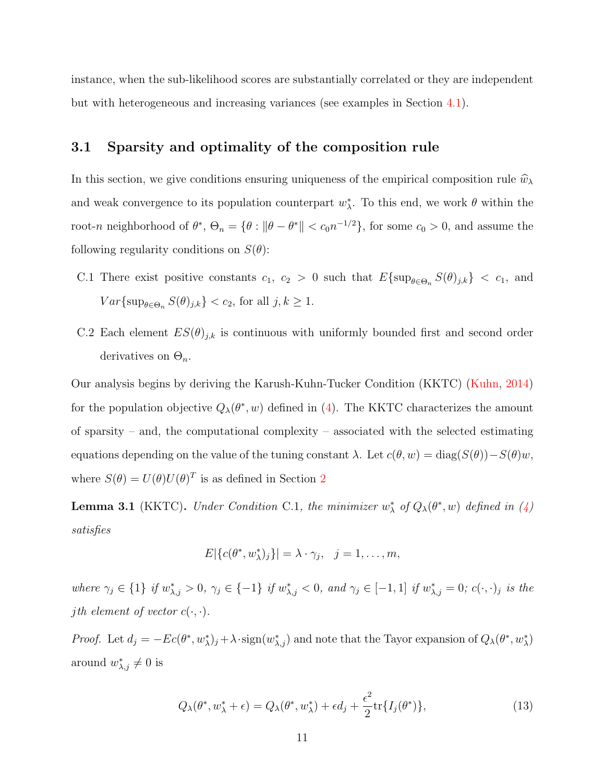instance, when the sub-likelihood scores are substantially correlated or they are independent but with heterogeneous and increasing variances (see examples in Section [4.1\)](#page-17-1).

#### <span id="page-10-1"></span>3.1 Sparsity and optimality of the composition rule

In this section, we give conditions ensuring uniqueness of the empirical composition rule  $\hat{w}_\lambda$ and weak convergence to its population counterpart  $w^*_{\lambda}$ . To this end, we work  $\theta$  within the root-n neighborhood of  $\theta^*$ ,  $\Theta_n = \{\theta : ||\theta - \theta^*|| < c_0 n^{-1/2}\}$ , for some  $c_0 > 0$ , and assume the following regularity conditions on  $S(\theta)$ :

- C.1 There exist positive constants  $c_1, c_2 > 0$  such that  $E\{\sup_{\theta \in \Theta_n} S(\theta)_{j,k}\} < c_1$ , and  $Var\{\sup_{\theta \in \Theta_n} S(\theta)_{j,k}\} < c_2$ , for all  $j, k \ge 1$ .
- C.2 Each element  $ES(\theta)_{j,k}$  is continuous with uniformly bounded first and second order derivatives on  $\Theta_n$ .

Our analysis begins by deriving the Karush-Kuhn-Tucker Condition (KKTC) [\(Kuhn,](#page-32-7) [2014\)](#page-32-7) for the population objective  $Q_{\lambda}(\theta^*, w)$  defined in [\(4\)](#page-5-0). The KKTC characterizes the amount of sparsity – and, the computational complexity – associated with the selected estimating equations depending on the value of the tuning constant  $\lambda$ . Let  $c(\theta, w) = \text{diag}(S(\theta)) - S(\theta)w$ , where  $S(\theta) = U(\theta)U(\theta)^T$  is as defined in Section [2](#page-4-0)

<span id="page-10-0"></span>**Lemma 3.1** (KKTC). Under Condition C.1, the minimizer  $w^*_{\lambda}$  of  $Q_{\lambda}(\theta^*, w)$  defined in [\(4\)](#page-5-0) satisfies

$$
E[\{c(\theta^*, w^*_{\lambda})_j\}] = \lambda \cdot \gamma_j, \quad j = 1, \dots, m,
$$

where  $\gamma_j \in \{1\}$  if  $w_{\lambda,j}^* > 0$ ,  $\gamma_j \in \{-1\}$  if  $w_{\lambda,j}^* < 0$ , and  $\gamma_j \in [-1,1]$  if  $w_{\lambda,j}^* = 0$ ;  $c(\cdot,\cdot)_j$  is the *j*th element of vector  $c(\cdot, \cdot)$ .

*Proof.* Let  $d_j = -Ec(\theta^*, w^*_{\lambda})_j + \lambda \cdot sign(w^*_{\lambda,j})$  and note that the Tayor expansion of  $Q_{\lambda}(\theta^*, w^*_{\lambda})$ around  $w_{\lambda,j}^* \neq 0$  is

$$
Q_{\lambda}(\theta^*, w_{\lambda}^* + \epsilon) = Q_{\lambda}(\theta^*, w_{\lambda}^*) + \epsilon d_j + \frac{\epsilon^2}{2} \text{tr}\{I_j(\theta^*)\},\tag{13}
$$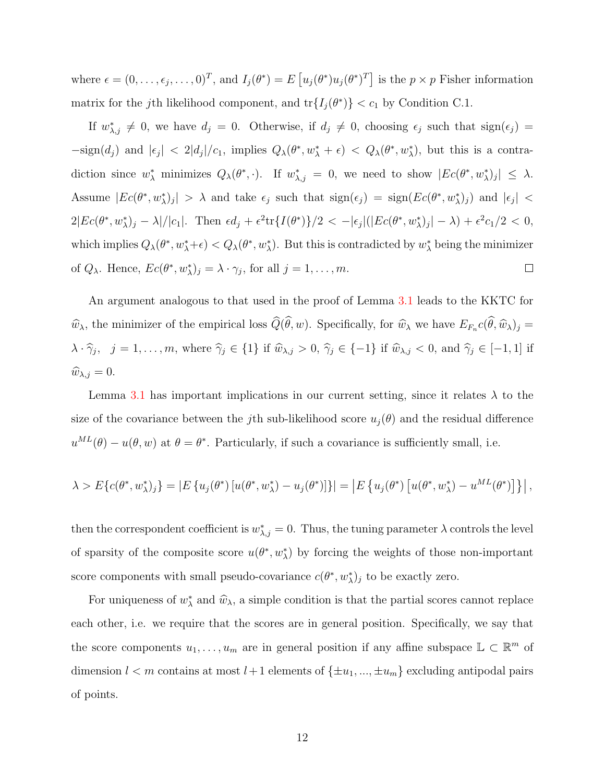where  $\epsilon = (0, \ldots, \epsilon_j, \ldots, 0)^T$ , and  $I_j(\theta^*) = E\left[u_j(\theta^*)u_j(\theta^*)^T\right]$  is the  $p \times p$  Fisher information matrix for the j<sup>th</sup> likelihood component, and  $tr{I_j(\theta^*)} < c_1$  by Condition C.1.

If  $w^*_{\lambda,j} \neq 0$ , we have  $d_j = 0$ . Otherwise, if  $d_j \neq 0$ , choosing  $\epsilon_j$  such that  $sign(\epsilon_j)$  $-\text{sign}(d_j)$  and  $|\epsilon_j| < 2|d_j|/c_1$ , implies  $Q_\lambda(\theta^*, w_\lambda^* + \epsilon) < Q_\lambda(\theta^*, w_\lambda^*)$ , but this is a contradiction since  $w^*_{\lambda}$  minimizes  $Q_{\lambda}(\theta^*,\cdot)$ . If  $w^*_{\lambda,j} = 0$ , we need to show  $|Ec(\theta^*, w^*_{\lambda})_j| \leq \lambda$ . Assume  $|Ec(\theta^*, w^*_{\lambda})_j| > \lambda$  and take  $\epsilon_j$  such that  $sign(\epsilon_j) = sign(Ec(\theta^*, w^*_{\lambda})_j)$  and  $|\epsilon_j|$  <  $2|Ec(\theta^*, w^*_{\lambda})_j - \lambda |/|c_1|$ . Then  $\epsilon d_j + \epsilon^2 \text{tr}\lbrace I(\theta^*) \rbrace/2 < -|\epsilon_j|(|Ec(\theta^*, w^*_{\lambda})_j| - \lambda) + \epsilon^2 c_1/2 < 0$ , which implies  $Q_\lambda(\theta^*, w_\lambda^*+\epsilon) < Q_\lambda(\theta^*, w_\lambda^*)$ . But this is contradicted by  $w_\lambda^*$  being the minimizer of  $Q_{\lambda}$ . Hence,  $Ec(\theta^*, w_{\lambda}^*)_j = \lambda \cdot \gamma_j$ , for all  $j = 1, ..., m$ .  $\Box$ 

An argument analogous to that used in the proof of Lemma [3.1](#page-10-0) leads to the KKTC for  $\hat{w}_{\lambda}$ , the minimizer of the empirical loss  $Q(\theta, w)$ . Specifically, for  $\hat{w}_{\lambda}$  we have  $E_{F_n}c(\theta, \hat{w}_{\lambda})_j =$  $\lambda \cdot \hat{\gamma}_j$ ,  $j = 1, \ldots, m$ , where  $\hat{\gamma}_j \in \{1\}$  if  $\hat{w}_{\lambda,j} > 0$ ,  $\hat{\gamma}_j \in \{-1\}$  if  $\hat{w}_{\lambda,j} < 0$ , and  $\hat{\gamma}_j \in [-1, 1]$  if  $\widehat{w}_{\lambda,j} = 0.$ 

Lemma [3.1](#page-10-0) has important implications in our current setting, since it relates  $\lambda$  to the size of the covariance between the jth sub-likelihood score  $u_i(\theta)$  and the residual difference  $u^{ML}(\theta) - u(\theta, w)$  at  $\theta = \theta^*$ . Particularly, if such a covariance is sufficiently small, i.e.

$$
\lambda > E\{c(\theta^*, w^*_\lambda)_j\} = |E\{u_j(\theta^*)[u(\theta^*, w^*_\lambda) - u_j(\theta^*)]\}| = |E\{u_j(\theta^*)[u(\theta^*, w^*_\lambda) - u^{ML}(\theta^*)]\}|,
$$

then the correspondent coefficient is  $w_{\lambda,j}^* = 0$ . Thus, the tuning parameter  $\lambda$  controls the level of sparsity of the composite score  $u(\theta^*, w^*_{\lambda})$  by forcing the weights of those non-important score components with small pseudo-covariance  $c(\theta^*, w^*_{\lambda})_j$  to be exactly zero.

For uniqueness of  $w^*_{\lambda}$  and  $\hat{w}_{\lambda}$ , a simple condition is that the partial scores cannot replace each other, i.e. we require that the scores are in general position. Specifically, we say that the score components  $u_1, \ldots, u_m$  are in general position if any affine subspace  $\mathbb{L} \subset \mathbb{R}^m$  of dimension  $l < m$  contains at most  $l+1$  elements of  $\{\pm u_1, ..., \pm u_m\}$  excluding antipodal pairs of points.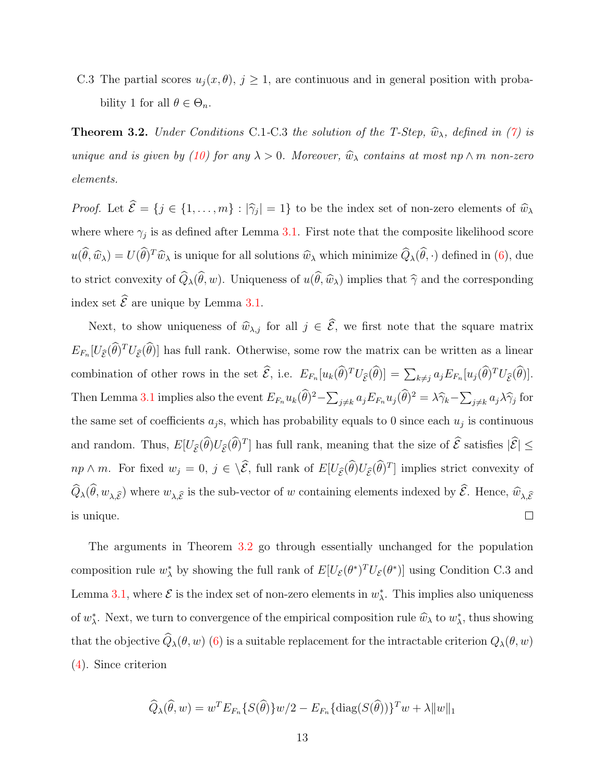C.3 The partial scores  $u_j(x, \theta), j \geq 1$ , are continuous and in general position with probability 1 for all  $\theta \in \Theta_n$ .

<span id="page-12-0"></span>**Theorem 3.2.** Under Conditions C.1-C.3 the solution of the T-Step,  $\widehat{w}_{\lambda}$ , defined in [\(7\)](#page-7-4) is unique and is given by [\(10\)](#page-7-2) for any  $\lambda > 0$ . Moreover,  $\widehat{w}_{\lambda}$  contains at most np  $\wedge$  m non-zero elements.

*Proof.* Let  $\mathcal{E} = \{j \in \{1, ..., m\} : |\hat{\gamma}_j| = 1\}$  to be the index set of non-zero elements of  $\hat{w}_\lambda$ where where  $\gamma_j$  is as defined after Lemma [3.1.](#page-10-0) First note that the composite likelihood score  $u(\hat{\theta}, \hat{w}_{\lambda}) = U(\hat{\theta})^T \hat{w}_{\lambda}$  is unique for all solutions  $\hat{w}_{\lambda}$  which minimize  $\hat{Q}_{\lambda}(\hat{\theta}, \cdot)$  defined in [\(6\)](#page-6-1), due to strict convexity of  $\widehat{Q}_{\lambda}(\widehat{\theta}, w)$ . Uniqueness of  $u(\widehat{\theta}, \widehat{w}_{\lambda})$  implies that  $\widehat{\gamma}$  and the corresponding index set  $\widehat{\mathcal{E}}$  are unique by Lemma [3.1.](#page-10-0)

Next, to show uniqueness of  $\widehat{w}_{\lambda,j}$  for all  $j \in \widehat{\mathcal{E}}$ , we first note that the square matrix  $E_{F_n}[U_{\hat{\varepsilon}}(\hat{\theta})^T U_{\hat{\varepsilon}}(\hat{\theta})]$  has full rank. Otherwise, some row the matrix can be written as a linear combination of other rows in the set  $\mathcal{E}$ , i.e.  $E_{F_n}[u_k(\theta)^T U_{\hat{\mathcal{E}}}(\theta)] = \sum_{k \neq j} a_j E_{F_n}[u_j(\theta)^T U_{\hat{\mathcal{E}}}(\theta)].$ Then Lemma [3.1](#page-10-0) implies also the event  $E_{F_n} u_k(\hat{\theta})^2 - \sum_{j \neq k} a_j E_{F_n} u_j(\hat{\theta})^2 = \lambda \hat{\gamma}_k - \sum_{j \neq k} a_j \lambda \hat{\gamma}_j$  for the same set of coefficients  $a_j$ s, which has probability equals to 0 since each  $u_j$  is continuous and random. Thus,  $E[U_{\hat{\mathcal{E}}}(\hat{\theta})U_{\hat{\mathcal{E}}}(\hat{\theta})^T]$  has full rank, meaning that the size of  $\hat{\mathcal{E}}$  satisfies  $|\hat{\mathcal{E}}| \le$  $np \wedge m$ . For fixed  $w_j = 0$ ,  $j \in \langle \mathcal{E},$  full rank of  $E[U_{\widehat{\mathcal{E}}}(\widehat{\theta})U_{\widehat{\mathcal{E}}}(\widehat{\theta})^T]$  implies strict convexity of  $Q_{\lambda}(\theta, w_{\lambda,\widehat{\mathcal{E}}})$  where  $w_{\lambda,\widehat{\mathcal{E}}}$  is the sub-vector of w containing elements indexed by  $\mathcal{E}$ . Hence,  $\widehat{w}_{\lambda,\widehat{\mathcal{E}}}$ is unique.  $\Box$ 

The arguments in Theorem [3.2](#page-12-0) go through essentially unchanged for the population composition rule  $w^*_{\lambda}$  by showing the full rank of  $E[U_{\mathcal{E}}(\theta^*)^T U_{\mathcal{E}}(\theta^*)]$  using Condition C.3 and Lemma [3.1,](#page-10-0) where  $\mathcal E$  is the index set of non-zero elements in  $w^*_{\lambda}$ . This implies also uniqueness of  $w^*_{\lambda}$ . Next, we turn to convergence of the empirical composition rule  $\hat{w}_{\lambda}$  to  $w^*_{\lambda}$ , thus showing that the objective  $\widehat{Q}_\lambda(\theta, w)$  [\(6\)](#page-6-1) is a suitable replacement for the intractable criterion  $Q_\lambda(\theta, w)$ [\(4\)](#page-5-0). Since criterion

$$
\widehat{Q}_{\lambda}(\widehat{\theta}, w) = w^{T} E_{F_{n}} \{ S(\widehat{\theta}) \} w/2 - E_{F_{n}} \{ \text{diag}(S(\widehat{\theta})) \}^{T} w + \lambda \| w \|_{1}
$$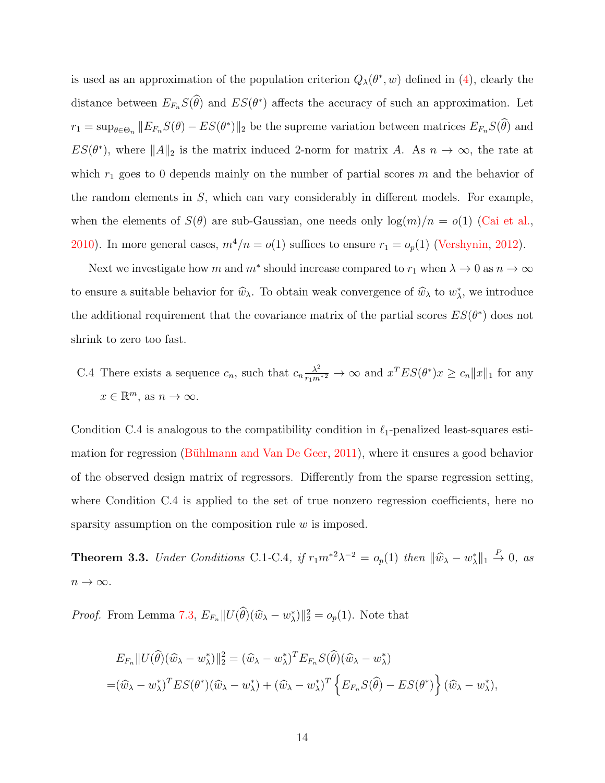is used as an approximation of the population criterion  $Q_{\lambda}(\theta^*, w)$  defined in [\(4\)](#page-5-0), clearly the distance between  $E_{F_n}S(\theta)$  and  $ES(\theta^*)$  affects the accuracy of such an approximation. Let  $r_1 = \sup_{\theta \in \Theta_n} ||E_{F_n} S(\theta) - ES(\theta^*)||_2$  be the supreme variation between matrices  $E_{F_n} S(\theta)$  and  $ES(\theta^*)$ , where  $||A||_2$  is the matrix induced 2-norm for matrix A. As  $n \to \infty$ , the rate at which  $r_1$  goes to 0 depends mainly on the number of partial scores m and the behavior of the random elements in  $S$ , which can vary considerably in different models. For example, when the elements of  $S(\theta)$  are sub-Gaussian, one needs only  $\log(m)/n = o(1)$  [\(Cai et al.,](#page-32-8) [2010\)](#page-32-8). In more general cases,  $m^4/n = o(1)$  suffices to ensure  $r_1 = o_p(1)$  [\(Vershynin,](#page-33-2) [2012\)](#page-33-2).

Next we investigate how m and  $m^*$  should increase compared to  $r_1$  when  $\lambda \to 0$  as  $n \to \infty$ to ensure a suitable behavior for  $\hat{w}_{\lambda}$ . To obtain weak convergence of  $\hat{w}_{\lambda}$  to  $w_{\lambda}^{*}$ , we introduce the additional requirement that the covariance matrix of the partial scores  $ES(\theta^*)$  does not shrink to zero too fast.

C.4 There exists a sequence  $c_n$ , such that  $c_n \frac{\lambda^2}{r_1 m^{*2}} \to \infty$  and  $x^T ES(\theta^*) x \ge c_n ||x||_1$  for any  $x \in \mathbb{R}^m$ , as  $n \to \infty$ .

Condition C.4 is analogous to the compatibility condition in  $\ell_1$ -penalized least-squares esti-mation for regression (Bühlmann and Van De Geer, [2011\)](#page-32-9), where it ensures a good behavior of the observed design matrix of regressors. Differently from the sparse regression setting, where Condition C.4 is applied to the set of true nonzero regression coefficients, here no sparsity assumption on the composition rule w is imposed.

<span id="page-13-0"></span>**Theorem 3.3.** Under Conditions C.1-C.4, if  $r_1 m^{*2} \lambda^{-2} = o_p(1)$  then  $\|\hat{w}_{\lambda} - w_{\lambda}^*\|_1 \stackrel{P}{\rightarrow} 0$ , as  $n\to\infty.$ 

*Proof.* From Lemma [7.3,](#page-30-0)  $E_{F_n} || U(\hat{\theta}) (\hat{w}_{\lambda} - w_{\lambda}^*) ||_2^2 = o_p(1)$ . Note that

$$
E_{F_n} || U(\widehat{\theta})(\widehat{w}_{\lambda} - w_{\lambda}^*) ||_2^2 = (\widehat{w}_{\lambda} - w_{\lambda}^*)^T E_{F_n} S(\widehat{\theta})(\widehat{w}_{\lambda} - w_{\lambda}^*)
$$
  
=  $(\widehat{w}_{\lambda} - w_{\lambda}^*)^T E S(\theta^*)(\widehat{w}_{\lambda} - w_{\lambda}^*) + (\widehat{w}_{\lambda} - w_{\lambda}^*)^T \left\{ E_{F_n} S(\widehat{\theta}) - E S(\theta^*) \right\} (\widehat{w}_{\lambda} - w_{\lambda}^*),$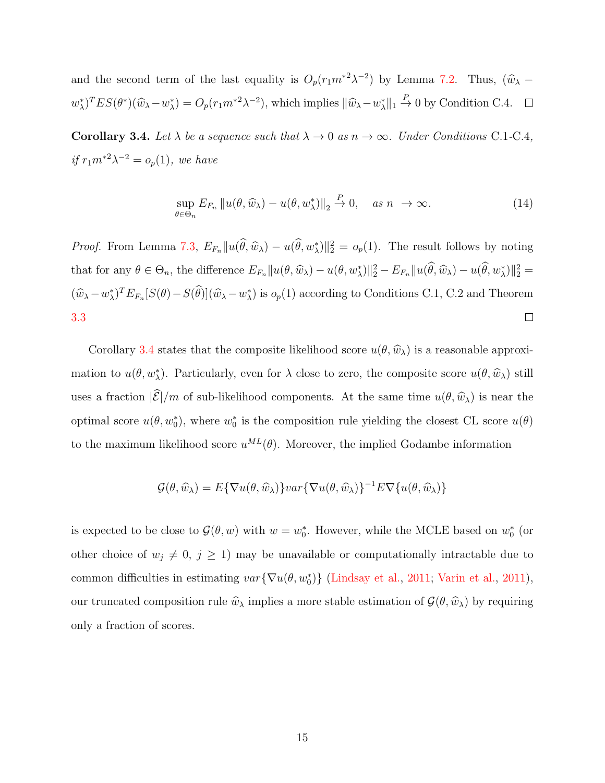and the second term of the last equality is  $O_p(r_1m^{*2}\lambda^{-2})$  by Lemma [7.2.](#page-29-0) Thus,  $(\widehat{w}_{\lambda}$  –  $w_{\lambda}^{*}$ )<sup>T</sup>ES( $\theta^{*}$ )( $\widehat{w}_{\lambda}-w_{\lambda}^{*}$ ) =  $O_{p}(r_{1}m^{*2}\lambda^{-2})$ , which implies  $\|\widehat{w}_{\lambda}-w_{\lambda}^{*}\|_{1} \stackrel{P}{\rightarrow} 0$  by Condition C.4.

<span id="page-14-0"></span>**Corollary 3.4.** Let  $\lambda$  be a sequence such that  $\lambda \to 0$  as  $n \to \infty$ . Under Conditions C.1-C.4, if  $r_1 m^{*2} \lambda^{-2} = o_p(1)$ , we have

$$
\sup_{\theta \in \Theta_n} E_{F_n} ||u(\theta, \widehat{w}_{\lambda}) - u(\theta, w_{\lambda}^*)||_2 \stackrel{P}{\to} 0, \quad \text{as } n \to \infty.
$$
 (14)

*Proof.* From Lemma [7.3,](#page-30-0)  $E_{F_n} ||u(\hat{\theta}, \hat{w}_\lambda) - u(\hat{\theta}, w_\lambda^*)||_2^2 = o_p(1)$ . The result follows by noting that for any  $\theta \in \Theta_n$ , the difference  $E_{F_n} ||u(\theta, \widehat{w}_{\lambda}) - u(\theta, w_{\lambda}^*)||_2^2 - E_{F_n} ||u(\widehat{\theta}, \widehat{w}_{\lambda}) - u(\widehat{\theta}, w_{\lambda}^*)||_2^2 =$  $(\hat{w}_{\lambda} - w_{\lambda}^*)^T E_{F_n}[S(\theta) - S(\hat{\theta})](\hat{w}_{\lambda} - w_{\lambda}^*)$  is  $o_p(1)$  according to Conditions C.1, C.2 and Theorem  $\Box$ [3.3](#page-13-0)

Corollary [3.4](#page-14-0) states that the composite likelihood score  $u(\theta,\widehat{w}_{\lambda})$  is a reasonable approximation to  $u(\theta, w^*_{\lambda})$ . Particularly, even for  $\lambda$  close to zero, the composite score  $u(\theta, \hat{w}_{\lambda})$  still uses a fraction  $|\mathcal{E}|/m$  of sub-likelihood components. At the same time  $u(\theta,\hat{w}_\lambda)$  is near the optimal score  $u(\theta, w_0^*)$ , where  $w_0^*$  is the composition rule yielding the closest CL score  $u(\theta)$ to the maximum likelihood score  $u^{ML}(\theta)$ . Moreover, the implied Godambe information

$$
\mathcal{G}(\theta, \widehat{w}_{\lambda}) = E\{\nabla u(\theta, \widehat{w}_{\lambda})\}var\{\nabla u(\theta, \widehat{w}_{\lambda})\}^{-1}E\nabla\{u(\theta, \widehat{w}_{\lambda})\}
$$

is expected to be close to  $\mathcal{G}(\theta, w)$  with  $w = w_0^*$ . However, while the MCLE based on  $w_0^*$  (or other choice of  $w_j \neq 0, j \geq 1$ ) may be unavailable or computationally intractable due to common difficulties in estimating  $var\{\nabla u(\theta, w_0^*)\}$  [\(Lindsay et al.,](#page-33-1) [2011;](#page-33-1) [Varin et al.,](#page-33-0) [2011\)](#page-33-0), our truncated composition rule  $\hat{w}_{\lambda}$  implies a more stable estimation of  $\mathcal{G}(\theta,\hat{w}_{\lambda})$  by requiring only a fraction of scores.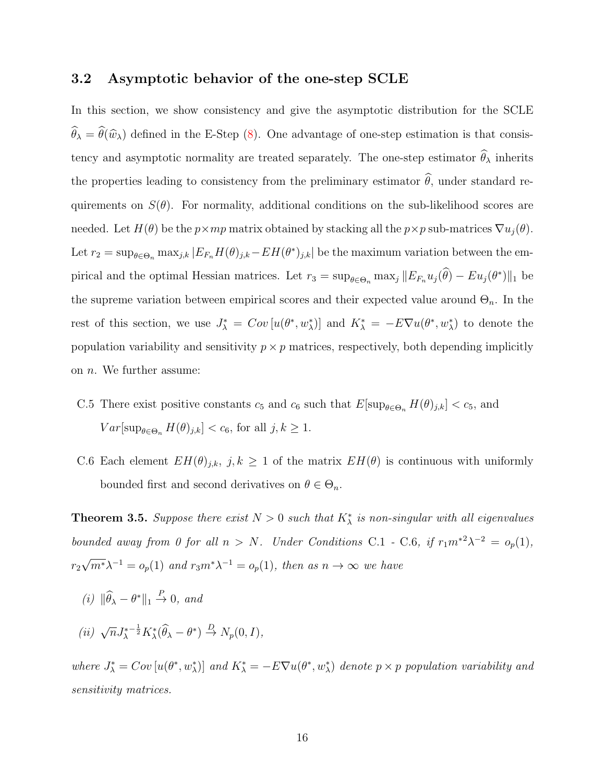#### 3.2 Asymptotic behavior of the one-step SCLE

In this section, we show consistency and give the asymptotic distribution for the SCLE  $\widehat{\theta}_{\lambda} = \widehat{\theta}(\widehat{w}_{\lambda})$  defined in the E-Step [\(8\)](#page-7-3). One advantage of one-step estimation is that consistency and asymptotic normality are treated separately. The one-step estimator  $\widehat{\theta}_{\lambda}$  inherits the properties leading to consistency from the preliminary estimator  $\hat{\theta}$ , under standard requirements on  $S(\theta)$ . For normality, additional conditions on the sub-likelihood scores are needed. Let  $H(\theta)$  be the  $p \times mp$  matrix obtained by stacking all the  $p \times p$  sub-matrices  $\nabla u_j(\theta)$ . Let  $r_2 = \sup_{\theta \in \Theta_n} \max_{j,k} |E_{F_n} H(\theta)_{j,k} - EH(\theta^*)_{j,k}|$  be the maximum variation between the empirical and the optimal Hessian matrices. Let  $r_3 = \sup_{\theta \in \Theta_n} \max_j ||E_{F_n} u_j(\theta) - E u_j(\theta^*)||_1$  be the supreme variation between empirical scores and their expected value around  $\Theta_n$ . In the rest of this section, we use  $J^*_{\lambda} = Cov[u(\theta^*, w^*_{\lambda})]$  and  $K^*_{\lambda} = -E\nabla u(\theta^*, w^*_{\lambda})$  to denote the population variability and sensitivity  $p \times p$  matrices, respectively, both depending implicitly on  $n$ . We further assume:

- C.5 There exist positive constants  $c_5$  and  $c_6$  such that  $E[\sup_{\theta \in \Theta_n} H(\theta)_{j,k}] < c_5$ , and  $Var[\sup_{\theta \in \Theta_n} H(\theta)_{j,k}] < c_6$ , for all  $j, k \geq 1$ .
- C.6 Each element  $EH(\theta)_{j,k}, j, k \geq 1$  of the matrix  $EH(\theta)$  is continuous with uniformly bounded first and second derivatives on  $\theta \in \Theta_n$ .

**Theorem 3.5.** Suppose there exist  $N > 0$  such that  $K^*_{\lambda}$  is non-singular with all eigenvalues bounded away from 0 for all  $n > N$ . Under Conditions C.1 - C.6, if  $r_1 m^{*2} \lambda^{-2} = o_p(1)$ ,  $r<sub>2</sub>$ √  $\overline{m^*}\lambda^{-1} = o_p(1)$  and  $r_3m^*\lambda^{-1} = o_p(1)$ , then as  $n \to \infty$  we have

- (i)  $\|\widehat{\theta}_{\lambda} \theta^*\|_1 \stackrel{P}{\to} 0$ , and
- (*ii*)  $\sqrt{n} J^*_{\lambda}$  $^{-\frac{1}{2}}K_{\lambda}^{*}(\widehat{\theta}_{\lambda}-\theta^{*}) \stackrel{D}{\rightarrow} N_{p}(0,I),$

where  $J^*_{\lambda} = Cov[u(\theta^*, w^*_{\lambda})]$  and  $K^*_{\lambda} = -E\nabla u(\theta^*, w^*_{\lambda})$  denote  $p \times p$  population variability and sensitivity matrices.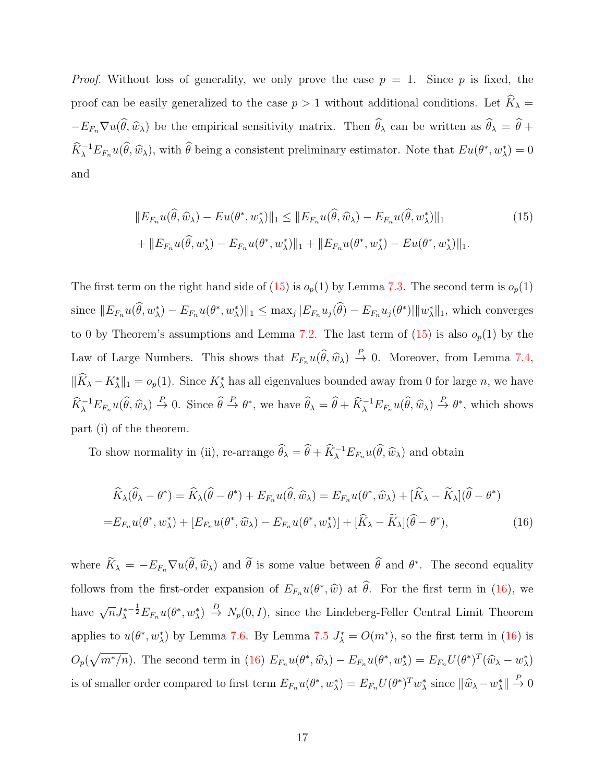*Proof.* Without loss of generality, we only prove the case  $p = 1$ . Since p is fixed, the proof can be easily generalized to the case  $p > 1$  without additional conditions. Let  $\widehat{K}_{\lambda} =$  $-E_{F_n}\nabla u(\hat{\theta},\hat{w}_\lambda)$  be the empirical sensitivity matrix. Then  $\hat{\theta}_\lambda$  can be written as  $\hat{\theta}_\lambda = \hat{\theta} + \hat{\theta}_\lambda$  $\widehat{K}_{\lambda}^{-1}E_{F_n}u(\widehat{\theta},\widehat{w}_{\lambda}),$  with  $\widehat{\theta}$  being a consistent preliminary estimator. Note that  $Eu(\theta^*,w^*_{\lambda})=0$ and

<span id="page-16-0"></span>
$$
||E_{F_n}u(\hat{\theta}, \hat{w}_\lambda) - Eu(\theta^*, w_\lambda^*)||_1 \le ||E_{F_n}u(\hat{\theta}, \hat{w}_\lambda) - E_{F_n}u(\hat{\theta}, w_\lambda^*)||_1
$$
\n
$$
+ ||E_{F_n}u(\hat{\theta}, w_\lambda^*) - E_{F_n}u(\theta^*, w_\lambda^*)||_1 + ||E_{F_n}u(\theta^*, w_\lambda^*) - Eu(\theta^*, w_\lambda^*)||_1.
$$
\n(15)

The first term on the right hand side of [\(15\)](#page-16-0) is  $o_p(1)$  by Lemma [7.3.](#page-30-0) The second term is  $o_p(1)$ since  $||E_{F_n}u(\hat{\theta}, w^*_{\lambda}) - E_{F_n}u(\theta^*, w^*_{\lambda})||_1 \leq \max_j |E_{F_n}u_j(\hat{\theta}) - E_{F_n}u_j(\theta^*)||w^*_{\lambda}||_1$ , which converges to 0 by Theorem's assumptions and Lemma [7.2.](#page-29-0) The last term of  $(15)$  is also  $o_p(1)$  by the Law of Large Numbers. This shows that  $E_{F_n}u(\hat{\theta}, \hat{w}_\lambda) \stackrel{P}{\to} 0$ . Moreover, from Lemma [7.4,](#page-30-1)  $\|\hat{K}_{\lambda} - K_{\lambda}^*\|_1 = o_p(1)$ . Since  $K_{\lambda}^*$  has all eigenvalues bounded away from 0 for large *n*, we have  $\widehat{K}_{\lambda}^{-1}E_{F_n}u(\widehat{\theta},\widehat{w}_{\lambda}) \stackrel{P}{\to} 0$ . Since  $\widehat{\theta} \stackrel{P}{\to} \theta^*$ , we have  $\widehat{\theta}_{\lambda} = \widehat{\theta} + \widehat{K}_{\lambda}^{-1}E_{F_n}u(\widehat{\theta},\widehat{w}_{\lambda}) \stackrel{P}{\to} \theta^*$ , which shows part (i) of the theorem.

To show normality in (ii), re-arrange  $\hat{\theta}_{\lambda} = \hat{\theta} + \hat{K}_{\lambda}^{-1} E_{F_n} u(\hat{\theta}, \hat{w}_{\lambda})$  and obtain

<span id="page-16-1"></span>
$$
\widehat{K}_{\lambda}(\widehat{\theta}_{\lambda} - \theta^*) = \widehat{K}_{\lambda}(\widehat{\theta} - \theta^*) + E_{F_n}u(\widehat{\theta}, \widehat{w}_{\lambda}) = E_{F_n}u(\theta^*, \widehat{w}_{\lambda}) + [\widehat{K}_{\lambda} - \widetilde{K}_{\lambda}](\widehat{\theta} - \theta^*)
$$
\n
$$
= E_{F_n}u(\theta^*, w_{\lambda}^*) + [E_{F_n}u(\theta^*, \widehat{w}_{\lambda}) - E_{F_n}u(\theta^*, w_{\lambda}^*)] + [\widehat{K}_{\lambda} - \widetilde{K}_{\lambda}](\widehat{\theta} - \theta^*), \tag{16}
$$

where  $K_{\lambda} = -E_{F_n} \nabla u(\theta, \hat{w}_{\lambda})$  and  $\hat{\theta}$  is some value between  $\hat{\theta}$  and  $\theta^*$ . The second equality follows from the first-order expansion of  $E_{F_n}u(\theta^*,\hat{w})$  at  $\hat{\theta}$ . For the first term in [\(16\)](#page-16-1), we have  $\sqrt{n}J_{\lambda}^*$  $\{-\frac{1}{2}E_{F_n}u(\theta^*,w_\lambda^*)\stackrel{D}{\to}N_p(0,I),\$  since the Lindeberg-Feller Central Limit Theorem applies to  $u(\theta^*, w_\lambda^*)$  by Lemma [7.6.](#page-31-1) By Lemma [7.5](#page-30-2)  $J_\lambda^* = O(m^*)$ , so the first term in [\(16\)](#page-16-1) is  $O_p(\sqrt{m^*/n})$ . The second term in [\(16\)](#page-16-1)  $E_{F_n}u(\theta^*, \hat{w}_\lambda) - E_{F_n}u(\theta^*, w_\lambda^*) = E_{F_n}U(\theta^*)^T(\hat{w}_\lambda - w_\lambda^*)$ is of smaller order compared to first term  $E_{F_n}u(\theta^*, w_\lambda^*) = E_{F_n}U(\theta^*)^Tw_\lambda^*$  since  $\|\widehat{w}_\lambda - w_\lambda^*\| \overset{P}{\to} 0$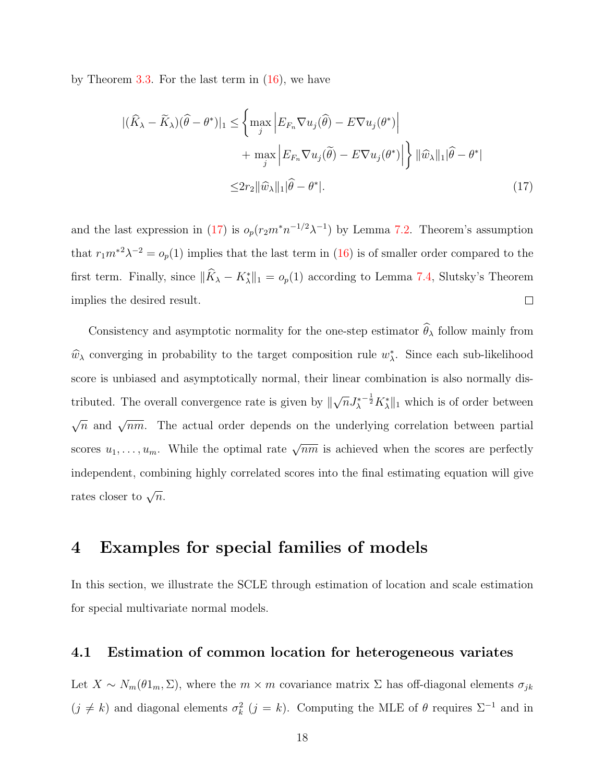by Theorem [3.3.](#page-13-0) For the last term in  $(16)$ , we have

<span id="page-17-2"></span>
$$
\begin{split} |(\widehat{K}_{\lambda} - \widetilde{K}_{\lambda})(\widehat{\theta} - \theta^{*})|_{1} &\leq \left\{ \max_{j} \left| E_{F_{n}} \nabla u_{j}(\widehat{\theta}) - E \nabla u_{j}(\theta^{*}) \right| \right. \\ &\quad + \max_{j} \left| E_{F_{n}} \nabla u_{j}(\widetilde{\theta}) - E \nabla u_{j}(\theta^{*}) \right| \right\} \left| |\widehat{w}_{\lambda}|_{1} |\widehat{\theta} - \theta^{*}| \right. \\ &\leq & 2r_{2} \|\widehat{w}_{\lambda}\|_{1} |\widehat{\theta} - \theta^{*}|. \end{split} \tag{17}
$$

and the last expression in [\(17\)](#page-17-2) is  $o_p(r_2m^*n^{-1/2}\lambda^{-1})$  by Lemma [7.2.](#page-29-0) Theorem's assumption that  $r_1m^{*2}\lambda^{-2} = o_p(1)$  implies that the last term in [\(16\)](#page-16-1) is of smaller order compared to the first term. Finally, since  $\|\hat{K}_{\lambda} - K_{\lambda}^*\|_1 = o_p(1)$  according to Lemma [7.4,](#page-30-1) Slutsky's Theorem implies the desired result.  $\Box$ 

Consistency and asymptotic normality for the one-step estimator  $\widehat{\theta}_{\lambda}$  follow mainly from  $\widehat{w}_{\lambda}$  converging in probability to the target composition rule  $w_{\lambda}^*$ . Since each sub-likelihood score is unbiased and asymptotically normal, their linear combination is also normally distributed. The overall convergence rate is given by  $\parallel$  $\sqrt{n}J^*_\lambda$  $^{-\frac{1}{2}}K^*_{\lambda}\|_1$  which is of order between  $\sqrt{n}$  and  $\sqrt{nm}$ . The actual order depends on the underlying correlation between partial scores  $u_1, \ldots, u_m$ . While the optimal rate  $\sqrt{nm}$  is achieved when the scores are perfectly independent, combining highly correlated scores into the final estimating equation will give rates closer to  $\sqrt{n}$ .

## <span id="page-17-0"></span>4 Examples for special families of models

In this section, we illustrate the SCLE through estimation of location and scale estimation for special multivariate normal models.

### <span id="page-17-1"></span>4.1 Estimation of common location for heterogeneous variates

Let  $X \sim N_m(\theta 1_m, \Sigma)$ , where the  $m \times m$  covariance matrix  $\Sigma$  has off-diagonal elements  $\sigma_{jk}$  $(j \neq k)$  and diagonal elements  $\sigma_k^2$   $(j = k)$ . Computing the MLE of  $\theta$  requires  $\Sigma^{-1}$  and in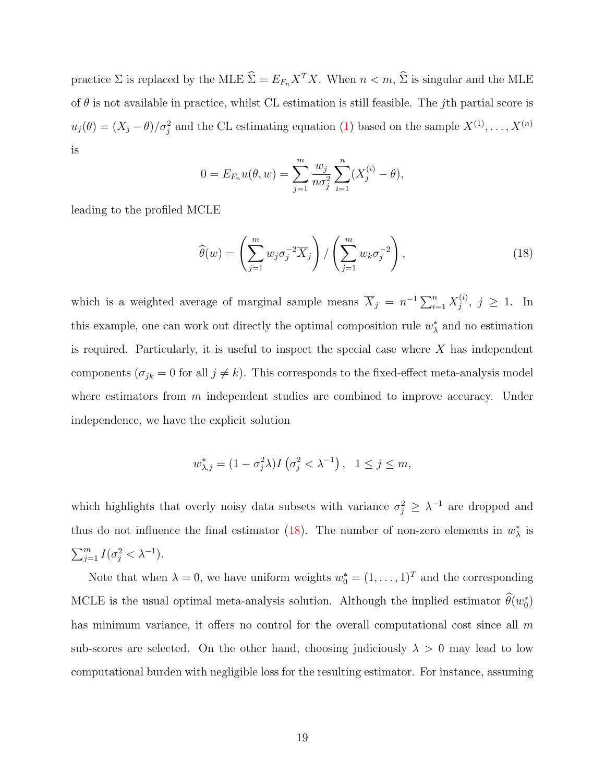practice  $\Sigma$  is replaced by the MLE  $\widehat{\Sigma} = E_{F_n} X^T X$ . When  $n < m$ ,  $\widehat{\Sigma}$  is singular and the MLE of  $\theta$  is not available in practice, whilst CL estimation is still feasible. The *j*th partial score is  $u_j(\theta) = (X_j - \theta) / \sigma_j^2$  and the CL estimating equation [\(1\)](#page-2-0) based on the sample  $X^{(1)}, \ldots, X^{(n)}$ is

$$
0 = E_{F_n}u(\theta, w) = \sum_{j=1}^m \frac{w_j}{n\sigma_j^2} \sum_{i=1}^n (X_j^{(i)} - \theta),
$$

leading to the profiled MCLE

<span id="page-18-0"></span>
$$
\widehat{\theta}(w) = \left(\sum_{j=1}^{m} w_j \sigma_j^{-2} \overline{X}_j\right) / \left(\sum_{j=1}^{m} w_k \sigma_j^{-2}\right),\tag{18}
$$

which is a weighted average of marginal sample means  $\overline{X}_j = n^{-1} \sum_{i=1}^n X_j^{(i)}$  $j^{(i)}$ ,  $j \geq 1$ . In this example, one can work out directly the optimal composition rule  $w^*_{\lambda}$  and no estimation is required. Particularly, it is useful to inspect the special case where  $X$  has independent components ( $\sigma_{jk} = 0$  for all  $j \neq k$ ). This corresponds to the fixed-effect meta-analysis model where estimators from  $m$  independent studies are combined to improve accuracy. Under independence, we have the explicit solution

$$
w_{\lambda,j}^* = (1 - \sigma_j^2 \lambda) I\left(\sigma_j^2 < \lambda^{-1}\right), \quad 1 \le j \le m,
$$

which highlights that overly noisy data subsets with variance  $\sigma_j^2 \geq \lambda^{-1}$  are dropped and thus do not influence the final estimator [\(18\)](#page-18-0). The number of non-zero elements in  $w^*_{\lambda}$  is  $\sum_{j=1}^m I(\sigma_j^2 < \lambda^{-1}).$ 

Note that when  $\lambda = 0$ , we have uniform weights  $w_0^* = (1, \ldots, 1)^T$  and the corresponding MCLE is the usual optimal meta-analysis solution. Although the implied estimator  $\hat{\theta}(w_0^*)$ has minimum variance, it offers no control for the overall computational cost since all  $m$ sub-scores are selected. On the other hand, choosing judiciously  $\lambda > 0$  may lead to low computational burden with negligible loss for the resulting estimator. For instance, assuming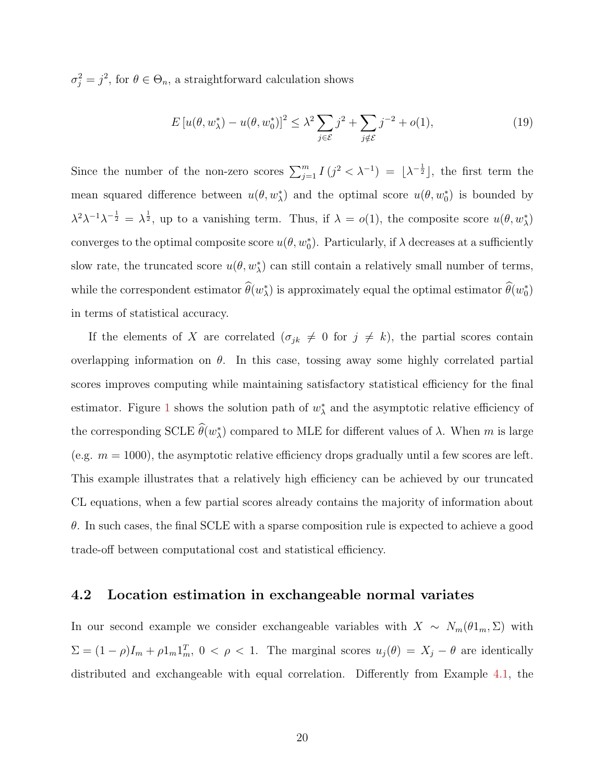$\sigma_j^2 = j^2$ , for  $\theta \in \Theta_n$ , a straightforward calculation shows

$$
E\left[u(\theta, w_{\lambda}^*) - u(\theta, w_0^*)\right]^2 \leq \lambda^2 \sum_{j \in \mathcal{E}} j^2 + \sum_{j \notin \mathcal{E}} j^{-2} + o(1),\tag{19}
$$

Since the number of the non-zero scores  $\sum_{j=1}^{m} I(j^2 < \lambda^{-1}) = [\lambda^{-\frac{1}{2}}]$ , the first term the mean squared difference between  $u(\theta, w^*_{\lambda})$  and the optimal score  $u(\theta, w^*_{0})$  is bounded by  $\lambda^2 \lambda^{-1} \lambda^{-\frac{1}{2}} = \lambda^{\frac{1}{2}}$ , up to a vanishing term. Thus, if  $\lambda = o(1)$ , the composite score  $u(\theta, w_\lambda^*)$ converges to the optimal composite score  $u(\theta, w_0^*)$ . Particularly, if  $\lambda$  decreases at a sufficiently slow rate, the truncated score  $u(\theta, w^*_{\lambda})$  can still contain a relatively small number of terms, while the correspondent estimator  $\hat{\theta}(w_{\lambda}^*)$  is approximately equal the optimal estimator  $\hat{\theta}(w_0^*)$ in terms of statistical accuracy.

If the elements of X are correlated  $(\sigma_{jk} \neq 0 \text{ for } j \neq k)$ , the partial scores contain overlapping information on  $\theta$ . In this case, tossing away some highly correlated partial scores improves computing while maintaining satisfactory statistical efficiency for the final estimator. Figure [1](#page-20-0) shows the solution path of  $w^*_{\lambda}$  and the asymptotic relative efficiency of the corresponding SCLE  $\hat{\theta}(w_{\lambda}^*)$  compared to MLE for different values of  $\lambda$ . When m is large (e.g.  $m = 1000$ ), the asymptotic relative efficiency drops gradually until a few scores are left. This example illustrates that a relatively high efficiency can be achieved by our truncated CL equations, when a few partial scores already contains the majority of information about  $\theta$ . In such cases, the final SCLE with a sparse composition rule is expected to achieve a good trade-off between computational cost and statistical efficiency.

#### 4.2 Location estimation in exchangeable normal variates

In our second example we consider exchangeable variables with  $X \sim N_m(\theta 1_m, \Sigma)$  with  $\Sigma = (1 - \rho)I_m + \rho I_m I_m^T$ ,  $0 < \rho < 1$ . The marginal scores  $u_j(\theta) = X_j - \theta$  are identically distributed and exchangeable with equal correlation. Differently from Example [4.1,](#page-17-1) the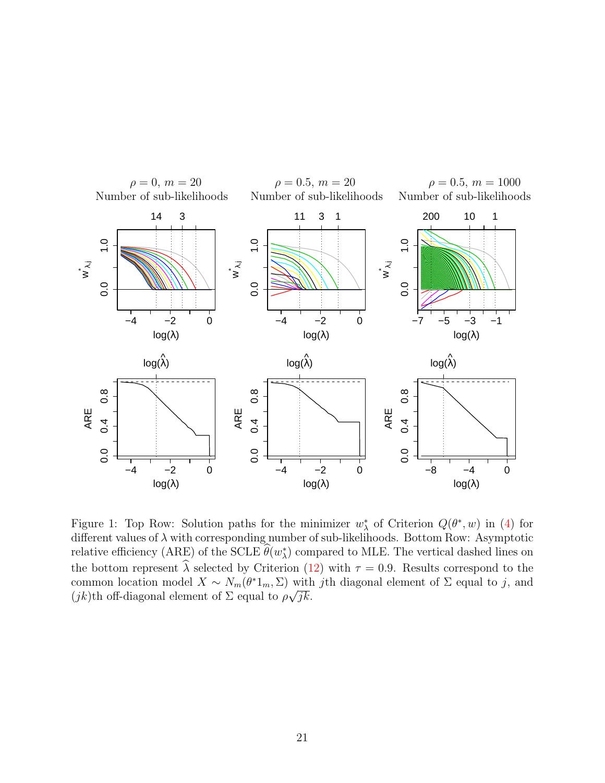<span id="page-20-0"></span>

Figure 1: Top Row: Solution paths for the minimizer  $w^*_{\lambda}$  of Criterion  $Q(\theta^*, w)$  in [\(4\)](#page-5-0) for different values of  $\lambda$  with corresponding number of sub-likelihoods. Bottom Row: Asymptotic relative efficiency (ARE) of the SCLE  $\hat{\theta}(w_{\lambda}^*)$  compared to MLE. The vertical dashed lines on the bottom represent  $\hat{\lambda}$  selected by Criterion [\(12\)](#page-9-1) with  $\tau = 0.9$ . Results correspond to the common location model  $X \sim N_m(\theta^* 1_m, \Sigma)$  with jth diagonal element of  $\Sigma$  equal to j, and  $(jk)$ th off-diagonal element of  $\Sigma$  equal to  $\rho\sqrt{jk}$ .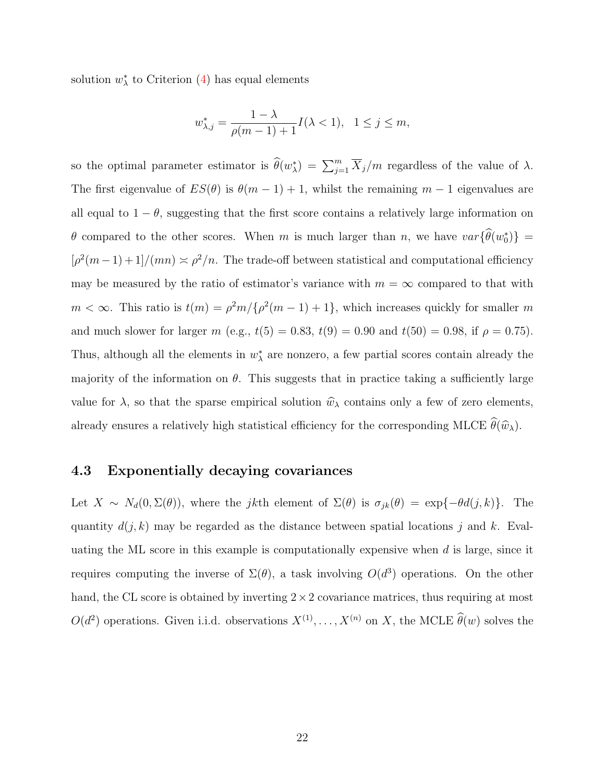solution  $w^*_{\lambda}$  to Criterion [\(4\)](#page-5-0) has equal elements

$$
w_{\lambda,j}^* = \frac{1 - \lambda}{\rho(m-1) + 1} I(\lambda < 1), \quad 1 \le j \le m,
$$

so the optimal parameter estimator is  $\widehat{\theta}(w_{\lambda}^*) = \sum_{j=1}^m \overline{X}_j/m$  regardless of the value of  $\lambda$ . The first eigenvalue of  $ES(\theta)$  is  $\theta(m-1) + 1$ , whilst the remaining  $m-1$  eigenvalues are all equal to  $1 - \theta$ , suggesting that the first score contains a relatively large information on  $\theta$  compared to the other scores. When m is much larger than n, we have  $var{\lbrace \hat{\theta}(w_0^*) \rbrace}$  =  $\left[\rho^2(m-1)+1\right]/(mn) \approx \rho^2/n$ . The trade-off between statistical and computational efficiency may be measured by the ratio of estimator's variance with  $m = \infty$  compared to that with  $m < \infty$ . This ratio is  $t(m) = \rho^2 m / {\rho^2 (m-1) + 1}$ , which increases quickly for smaller m and much slower for larger m (e.g.,  $t(5) = 0.83$ ,  $t(9) = 0.90$  and  $t(50) = 0.98$ , if  $\rho = 0.75$ ). Thus, although all the elements in  $w^*_{\lambda}$  are nonzero, a few partial scores contain already the majority of the information on  $\theta$ . This suggests that in practice taking a sufficiently large value for  $\lambda$ , so that the sparse empirical solution  $\hat{w}_{\lambda}$  contains only a few of zero elements, already ensures a relatively high statistical efficiency for the corresponding MLCE  $\widehat{\theta}(\widehat{w}_{\lambda})$ .

#### 4.3 Exponentially decaying covariances

Let  $X \sim N_d(0, \Sigma(\theta))$ , where the jkth element of  $\Sigma(\theta)$  is  $\sigma_{jk}(\theta) = \exp{\{-\theta d(j,k)\}}$ . The quantity  $d(j, k)$  may be regarded as the distance between spatial locations j and k. Evaluating the ML score in this example is computationally expensive when  $d$  is large, since it requires computing the inverse of  $\Sigma(\theta)$ , a task involving  $O(d^3)$  operations. On the other hand, the CL score is obtained by inverting  $2 \times 2$  covariance matrices, thus requiring at most  $O(d^2)$  operations. Given i.i.d. observations  $X^{(1)}, \ldots, X^{(n)}$  on X, the MCLE  $\widehat{\theta}(w)$  solves the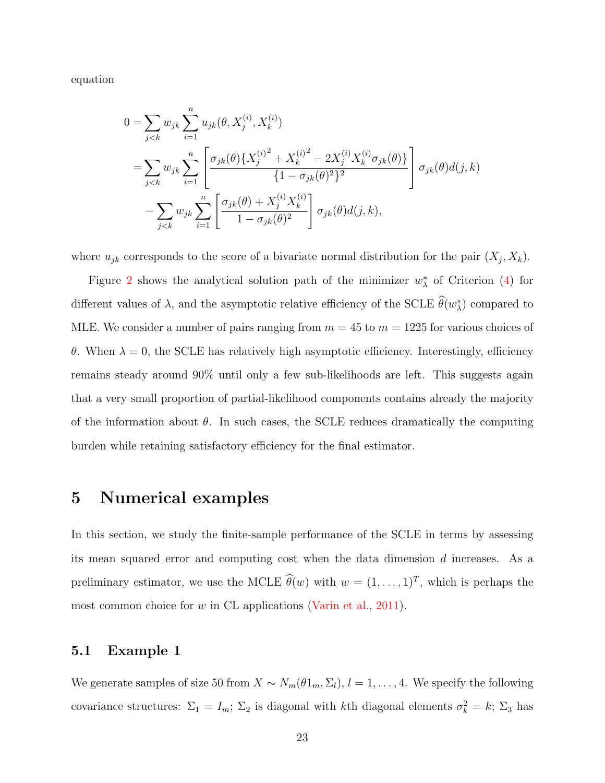equation

$$
0 = \sum_{j < k} w_{jk} \sum_{i=1}^{n} u_{jk}(\theta, X_j^{(i)}, X_k^{(i)})
$$
\n
$$
= \sum_{j < k} w_{jk} \sum_{i=1}^{n} \left[ \frac{\sigma_{jk}(\theta) \{ X_j^{(i)} + X_k^{(i)}^2 - 2X_j^{(i)} X_k^{(i)} \sigma_{jk}(\theta) \}}{\{1 - \sigma_{jk}(\theta)^2\}^2} \right] \sigma_{jk}(\theta) d(j, k)
$$
\n
$$
- \sum_{j < k} w_{jk} \sum_{i=1}^{n} \left[ \frac{\sigma_{jk}(\theta) + X_j^{(i)} X_k^{(i)}}{1 - \sigma_{jk}(\theta)^2} \right] \sigma_{jk}(\theta) d(j, k),
$$

where  $u_{jk}$  corresponds to the score of a bivariate normal distribution for the pair  $(X_j, X_k)$ .

Figure [2](#page-23-0) shows the analytical solution path of the minimizer  $w^*_{\lambda}$  of Criterion [\(4\)](#page-5-0) for different values of  $\lambda$ , and the asymptotic relative efficiency of the SCLE  $\hat{\theta}(w_{\lambda}^{*})$  compared to MLE. We consider a number of pairs ranging from  $m = 45$  to  $m = 1225$  for various choices of θ. When  $λ = 0$ , the SCLE has relatively high asymptotic efficiency. Interestingly, efficiency remains steady around 90% until only a few sub-likelihoods are left. This suggests again that a very small proportion of partial-likelihood components contains already the majority of the information about  $\theta$ . In such cases, the SCLE reduces dramatically the computing burden while retaining satisfactory efficiency for the final estimator.

## <span id="page-22-0"></span>5 Numerical examples

In this section, we study the finite-sample performance of the SCLE in terms by assessing its mean squared error and computing cost when the data dimension d increases. As a preliminary estimator, we use the MCLE  $\hat{\theta}(w)$  with  $w = (1, \ldots, 1)^T$ , which is perhaps the most common choice for w in CL applications [\(Varin et al.,](#page-33-0) [2011\)](#page-33-0).

#### 5.1 Example 1

We generate samples of size 50 from  $X \sim N_m(\theta 1_m, \Sigma_l)$ ,  $l = 1, ..., 4$ . We specify the following covariance structures:  $\Sigma_1 = I_m$ ;  $\Sigma_2$  is diagonal with kth diagonal elements  $\sigma_k^2 = k$ ;  $\Sigma_3$  has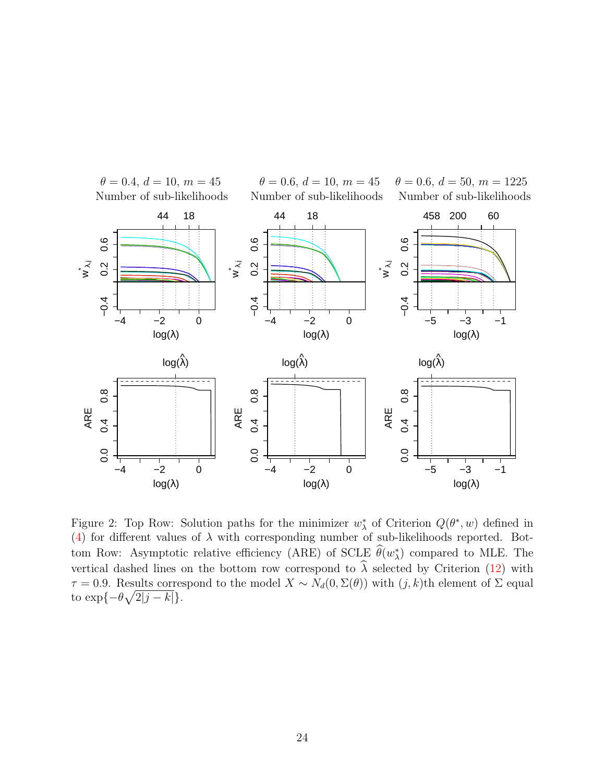<span id="page-23-0"></span>

Figure 2: Top Row: Solution paths for the minimizer  $w^*_{\lambda}$  of Criterion  $Q(\theta^*, w)$  defined in [\(4\)](#page-5-0) for different values of  $\lambda$  with corresponding number of sub-likelihoods reported. Bottom Row: Asymptotic relative efficiency (ARE) of SCLE  $\hat{\theta}(w_{\lambda}^*)$  compared to MLE. The vertical dashed lines on the bottom row correspond to  $\hat{\lambda}$  selected by Criterion [\(12\)](#page-9-1) with  $τ = 0.9$ . Results correspond to the model  $X \sim N_d(0, \Sigma(\theta))$  with  $(j, k)$ th element of Σ equal to  $\exp\{-\theta\sqrt{2|j-k|}\}.$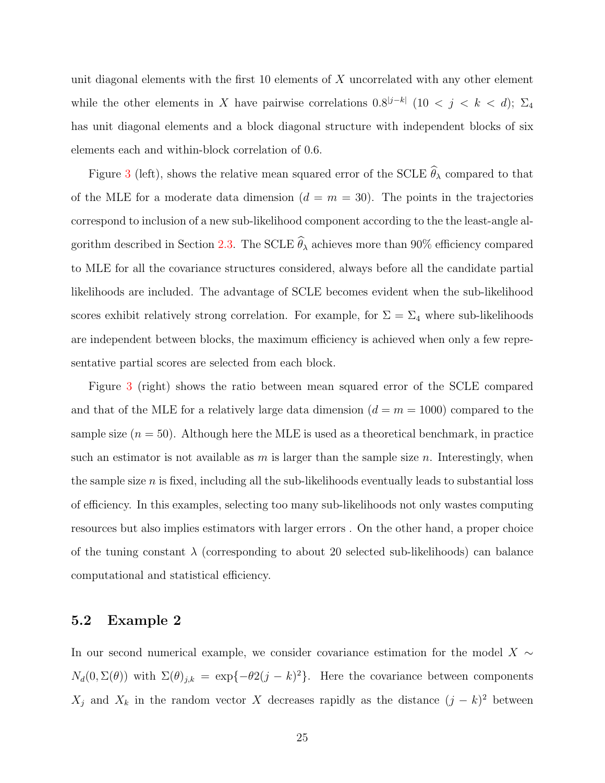unit diagonal elements with the first  $10$  elements of  $X$  uncorrelated with any other element while the other elements in X have pairwise correlations  $0.8^{|j-k|}$  (10 < j < k < d);  $\Sigma_4$ has unit diagonal elements and a block diagonal structure with independent blocks of six elements each and within-block correlation of 0.6.

Figure [3](#page-25-0) (left), shows the relative mean squared error of the SCLE  $\widehat{\theta}_{\lambda}$  compared to that of the MLE for a moderate data dimension  $(d = m = 30)$ . The points in the trajectories correspond to inclusion of a new sub-likelihood component according to the the least-angle al-gorithm described in Section [2.3.](#page-8-0) The SCLE  $\hat{\theta}_{\lambda}$  achieves more than 90% efficiency compared to MLE for all the covariance structures considered, always before all the candidate partial likelihoods are included. The advantage of SCLE becomes evident when the sub-likelihood scores exhibit relatively strong correlation. For example, for  $\Sigma = \Sigma_4$  where sub-likelihoods are independent between blocks, the maximum efficiency is achieved when only a few representative partial scores are selected from each block.

Figure [3](#page-25-0) (right) shows the ratio between mean squared error of the SCLE compared and that of the MLE for a relatively large data dimension  $(d = m = 1000)$  compared to the sample size  $(n = 50)$ . Although here the MLE is used as a theoretical benchmark, in practice such an estimator is not available as  $m$  is larger than the sample size  $n$ . Interestingly, when the sample size  $n$  is fixed, including all the sub-likelihoods eventually leads to substantial loss of efficiency. In this examples, selecting too many sub-likelihoods not only wastes computing resources but also implies estimators with larger errors . On the other hand, a proper choice of the tuning constant  $\lambda$  (corresponding to about 20 selected sub-likelihoods) can balance computational and statistical efficiency.

#### 5.2 Example 2

In our second numerical example, we consider covariance estimation for the model X  $\sim$  $N_d(0,\Sigma(\theta))$  with  $\Sigma(\theta)_{j,k} = \exp{-\theta^2(j-k)^2}$ . Here the covariance between components  $X_j$  and  $X_k$  in the random vector X decreases rapidly as the distance  $(j - k)^2$  between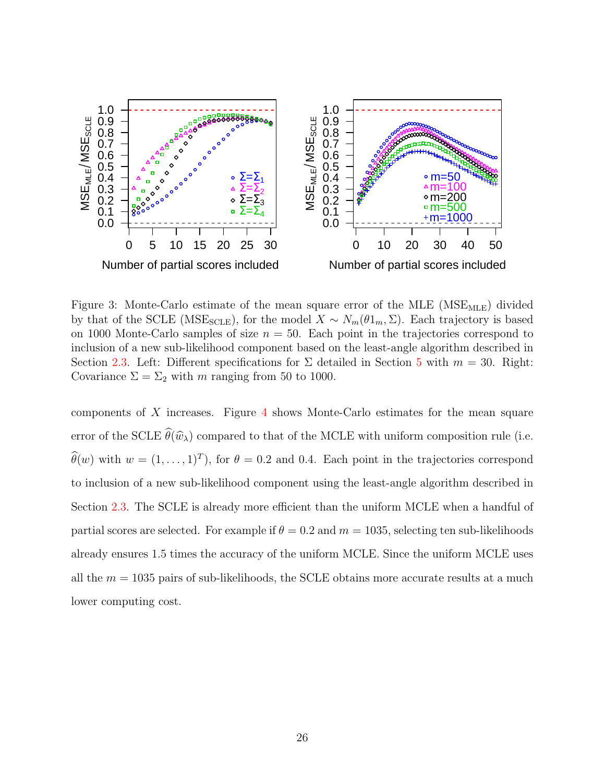<span id="page-25-0"></span>

Figure 3: Monte-Carlo estimate of the mean square error of the MLE ( $MSE_{MLE}$ ) divided by that of the SCLE (MSE<sub>SCLE</sub>), for the model  $X \sim N_m(\theta 1_m, \Sigma)$ . Each trajectory is based on 1000 Monte-Carlo samples of size  $n = 50$ . Each point in the trajectories correspond to inclusion of a new sub-likelihood component based on the least-angle algorithm described in Section [2.3.](#page-8-0) Left: Different specifications for  $\Sigma$  detailed in Section [5](#page-22-0) with  $m = 30$ . Right: Covariance  $\Sigma = \Sigma_2$  with m ranging from 50 to 1000.

components of  $X$  increases. Figure [4](#page-26-1) shows Monte-Carlo estimates for the mean square error of the SCLE  $\widehat{\theta}(\widehat{w}_{\lambda})$  compared to that of the MCLE with uniform composition rule (i.e.  $\hat{\theta}(w)$  with  $w = (1, \ldots, 1)^T$ , for  $\theta = 0.2$  and 0.4. Each point in the trajectories correspond to inclusion of a new sub-likelihood component using the least-angle algorithm described in Section [2.3.](#page-8-0) The SCLE is already more efficient than the uniform MCLE when a handful of partial scores are selected. For example if  $\theta = 0.2$  and  $m = 1035$ , selecting ten sub-likelihoods already ensures 1.5 times the accuracy of the uniform MCLE. Since the uniform MCLE uses all the  $m = 1035$  pairs of sub-likelihoods, the SCLE obtains more accurate results at a much lower computing cost.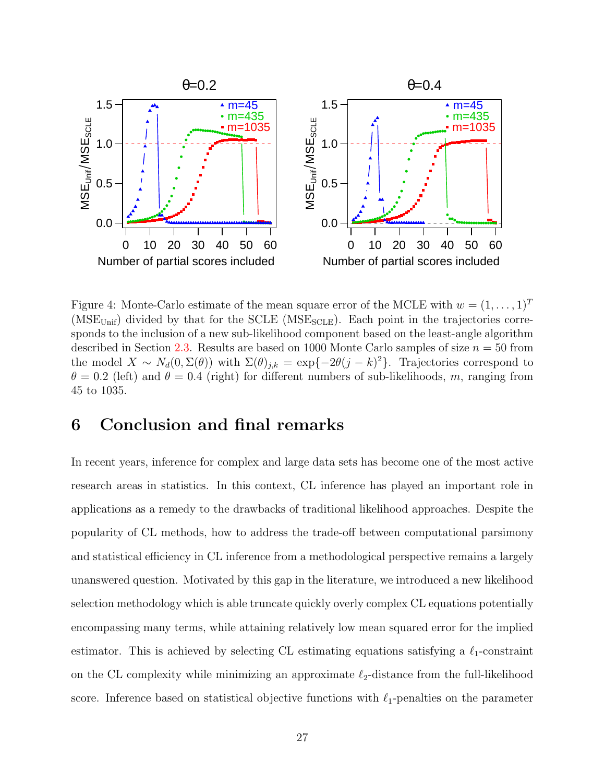<span id="page-26-1"></span>

Figure 4: Monte-Carlo estimate of the mean square error of the MCLE with  $w = (1, \ldots, 1)^T$  $(MSE<sub>Unif</sub>)$  divided by that for the SCLE  $(MSE<sub>SCLE</sub>)$ . Each point in the trajectories corresponds to the inclusion of a new sub-likelihood component based on the least-angle algorithm described in Section [2.3.](#page-8-0) Results are based on 1000 Monte Carlo samples of size  $n = 50$  from the model  $X \sim N_d(0, \Sigma(\theta))$  with  $\Sigma(\theta)_{j,k} = \exp\{-2\theta(j-k)^2\}$ . Trajectories correspond to  $\theta = 0.2$  (left) and  $\theta = 0.4$  (right) for different numbers of sub-likelihoods, m, ranging from 45 to 1035.

## <span id="page-26-0"></span>6 Conclusion and final remarks

In recent years, inference for complex and large data sets has become one of the most active research areas in statistics. In this context, CL inference has played an important role in applications as a remedy to the drawbacks of traditional likelihood approaches. Despite the popularity of CL methods, how to address the trade-off between computational parsimony and statistical efficiency in CL inference from a methodological perspective remains a largely unanswered question. Motivated by this gap in the literature, we introduced a new likelihood selection methodology which is able truncate quickly overly complex CL equations potentially encompassing many terms, while attaining relatively low mean squared error for the implied estimator. This is achieved by selecting CL estimating equations satisfying a  $\ell_1$ -constraint on the CL complexity while minimizing an approximate  $\ell_2$ -distance from the full-likelihood score. Inference based on statistical objective functions with  $\ell_1$ -penalties on the parameter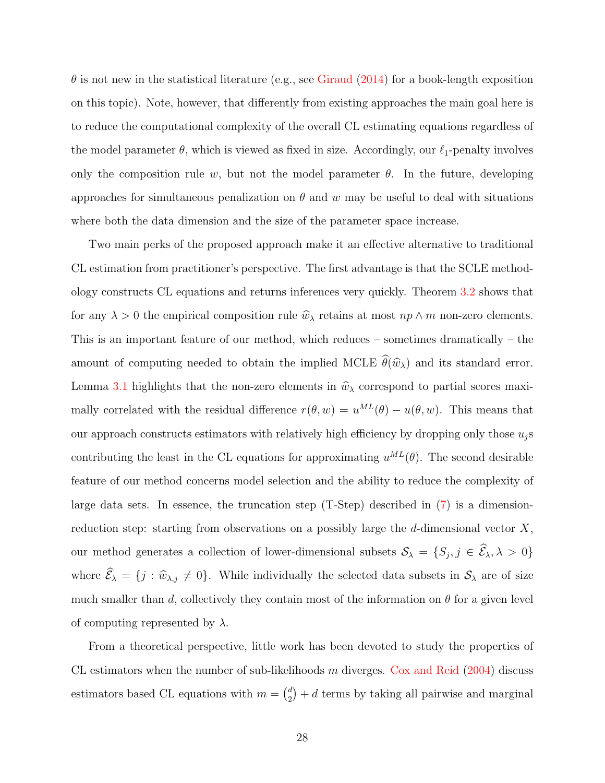$\theta$  is not new in the statistical literature (e.g., see [Giraud](#page-32-10) [\(2014\)](#page-32-10) for a book-length exposition on this topic). Note, however, that differently from existing approaches the main goal here is to reduce the computational complexity of the overall CL estimating equations regardless of the model parameter  $\theta$ , which is viewed as fixed in size. Accordingly, our  $\ell_1$ -penalty involves only the composition rule w, but not the model parameter  $\theta$ . In the future, developing approaches for simultaneous penalization on  $\theta$  and w may be useful to deal with situations where both the data dimension and the size of the parameter space increase.

Two main perks of the proposed approach make it an effective alternative to traditional CL estimation from practitioner's perspective. The first advantage is that the SCLE methodology constructs CL equations and returns inferences very quickly. Theorem [3.2](#page-12-0) shows that for any  $\lambda > 0$  the empirical composition rule  $\hat{w}_{\lambda}$  retains at most  $np \wedge m$  non-zero elements. This is an important feature of our method, which reduces – sometimes dramatically – the amount of computing needed to obtain the implied MCLE  $\widehat{\theta}(\widehat{w}_{\lambda})$  and its standard error. Lemma [3.1](#page-10-0) highlights that the non-zero elements in  $\hat{w}_{\lambda}$  correspond to partial scores maximally correlated with the residual difference  $r(\theta, w) = u^{ML}(\theta) - u(\theta, w)$ . This means that our approach constructs estimators with relatively high efficiency by dropping only those  $u_j$ s contributing the least in the CL equations for approximating  $u^{ML}(\theta)$ . The second desirable feature of our method concerns model selection and the ability to reduce the complexity of large data sets. In essence, the truncation step (T-Step) described in [\(7\)](#page-7-4) is a dimensionreduction step: starting from observations on a possibly large the  $d$ -dimensional vector  $X$ , our method generates a collection of lower-dimensional subsets  $S_{\lambda} = \{S_j, j \in \mathcal{E}_{\lambda}, \lambda > 0\}$ where  $\widehat{\mathcal{E}}_{\lambda} = \{j : \widehat{w}_{\lambda,j} \neq 0\}$ . While individually the selected data subsets in  $\mathcal{S}_{\lambda}$  are of size much smaller than d, collectively they contain most of the information on  $\theta$  for a given level of computing represented by  $\lambda$ .

From a theoretical perspective, little work has been devoted to study the properties of CL estimators when the number of sub-likelihoods  $m$  diverges. [Cox and Reid](#page-32-3) [\(2004\)](#page-32-3) discuss estimators based CL equations with  $m = \binom{d}{2}$  $\binom{d}{2} + d$  terms by taking all pairwise and marginal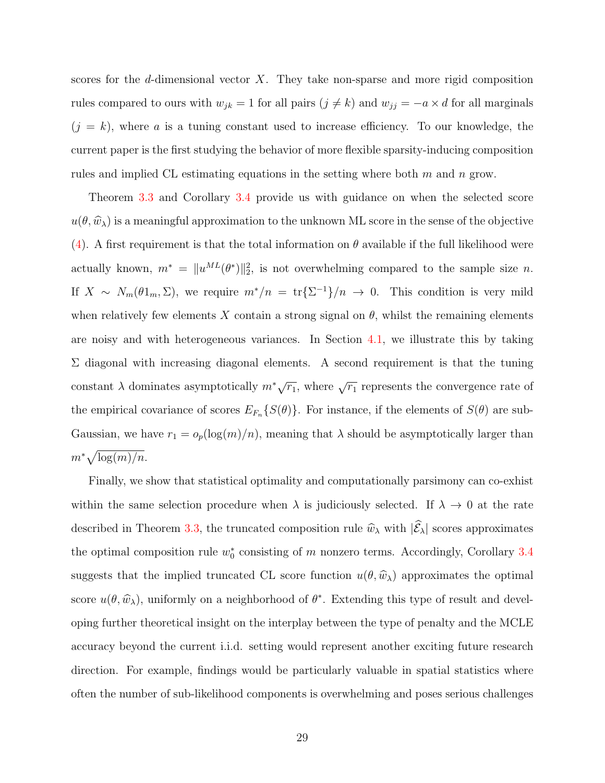scores for the d-dimensional vector  $X$ . They take non-sparse and more rigid composition rules compared to ours with  $w_{jk} = 1$  for all pairs  $(j \neq k)$  and  $w_{jj} = -a \times d$  for all marginals  $(j = k)$ , where a is a tuning constant used to increase efficiency. To our knowledge, the current paper is the first studying the behavior of more flexible sparsity-inducing composition rules and implied CL estimating equations in the setting where both  $m$  and  $n$  grow.

Theorem [3.3](#page-13-0) and Corollary [3.4](#page-14-0) provide us with guidance on when the selected score  $u(\theta,\widehat{w}_{\lambda})$  is a meaningful approximation to the unknown ML score in the sense of the objective [\(4\)](#page-5-0). A first requirement is that the total information on  $\theta$  available if the full likelihood were actually known,  $m^* = ||u^{ML}(\theta^*)||_2^2$ , is not overwhelming compared to the sample size n. If  $X \sim N_m(\theta 1_m, \Sigma)$ , we require  $m^*/n = \text{tr}\{\Sigma^{-1}\}/n \to 0$ . This condition is very mild when relatively few elements X contain a strong signal on  $\theta$ , whilst the remaining elements are noisy and with heterogeneous variances. In Section [4.1,](#page-17-1) we illustrate this by taking  $\Sigma$  diagonal with increasing diagonal elements. A second requirement is that the tuning constant  $\lambda$  dominates asymptotically  $m^*\sqrt{r_1}$ , where  $\sqrt{r_1}$  represents the convergence rate of the empirical covariance of scores  $E_{F_n}\{S(\theta)\}\$ . For instance, if the elements of  $S(\theta)$  are sub-Gaussian, we have  $r_1 = o_p(\log(m)/n)$ , meaning that  $\lambda$  should be asymptotically larger than  $m^*\sqrt{\log(m)/n}.$ 

Finally, we show that statistical optimality and computationally parsimony can co-exhist within the same selection procedure when  $\lambda$  is judiciously selected. If  $\lambda \to 0$  at the rate described in Theorem [3.3,](#page-13-0) the truncated composition rule  $\hat{w}_{\lambda}$  with  $|\hat{\mathcal{E}}_{\lambda}|$  scores approximates the optimal composition rule  $w_0^*$  consisting of m nonzero terms. Accordingly, Corollary [3.4](#page-14-0) suggests that the implied truncated CL score function  $u(\theta, \hat{w}_{\lambda})$  approximates the optimal score  $u(\theta, \hat{w}_\lambda)$ , uniformly on a neighborhood of  $\theta^*$ . Extending this type of result and developing further theoretical insight on the interplay between the type of penalty and the MCLE accuracy beyond the current i.i.d. setting would represent another exciting future research direction. For example, findings would be particularly valuable in spatial statistics where often the number of sub-likelihood components is overwhelming and poses serious challenges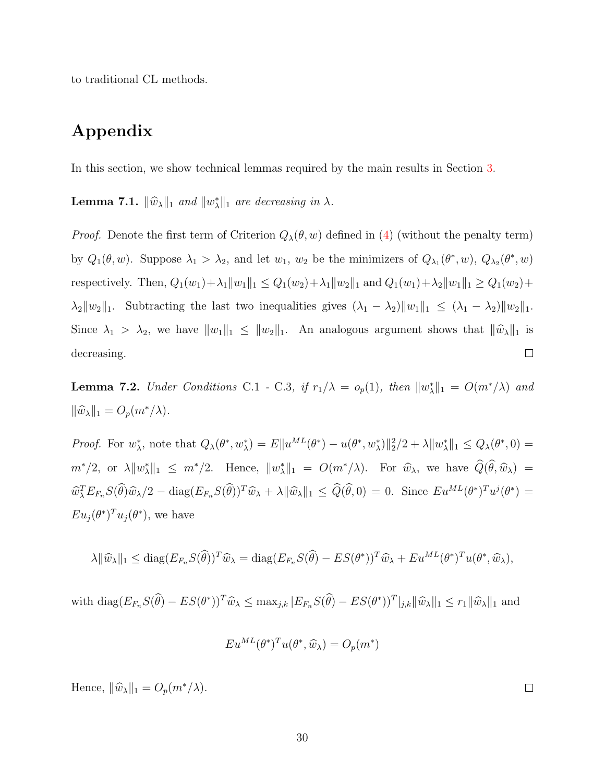to traditional CL methods.

## Appendix

In this section, we show technical lemmas required by the main results in Section [3.](#page-9-0)

**Lemma 7.1.**  $\|\widehat{w}_{\lambda}\|_1$  and  $\|w_{\lambda}^*\|_1$  are decreasing in  $\lambda$ .

*Proof.* Denote the first term of Criterion  $Q_{\lambda}(\theta, w)$  defined in [\(4\)](#page-5-0) (without the penalty term) by  $Q_1(\theta, w)$ . Suppose  $\lambda_1 > \lambda_2$ , and let  $w_1, w_2$  be the minimizers of  $Q_{\lambda_1}(\theta^*, w)$ ,  $Q_{\lambda_2}(\theta^*, w)$ respectively. Then,  $Q_1(w_1) + \lambda_1 \|w_1\|_1 \leq Q_1(w_2) + \lambda_1 \|w_2\|_1$  and  $Q_1(w_1) + \lambda_2 \|w_1\|_1 \geq Q_1(w_2) +$  $\lambda_2 \|w_2\|_1$ . Subtracting the last two inequalities gives  $(\lambda_1 - \lambda_2) \|w_1\|_1 \leq (\lambda_1 - \lambda_2) \|w_2\|_1$ . Since  $\lambda_1 > \lambda_2$ , we have  $||w_1||_1 \le ||w_2||_1$ . An analogous argument shows that  $||\hat{w}_\lambda||_1$  is  $\Box$ decreasing.

<span id="page-29-0"></span>**Lemma 7.2.** Under Conditions C.1 - C.3, if  $r_1/\lambda = o_p(1)$ , then  $||w^*_{\lambda}||_1 = O(m^*/\lambda)$  and  $\|\widehat{w}_{\lambda}\|_1 = O_p(m^*/\lambda).$ 

Proof. For  $w_\lambda^*$ , note that  $Q_\lambda(\theta^*, w_\lambda^*) = E||u^{ML}(\theta^*) - u(\theta^*, w_\lambda^*)||_2^2/2 + \lambda ||w_\lambda^*||_1 \leq Q_\lambda(\theta^*, 0) =$  $m^*/2$ , or  $\lambda \|w_\lambda^*\|_1 \leq m^*/2$ . Hence,  $\|w_\lambda^*\|_1 = O(m^*/\lambda)$ . For  $\widehat{w}_\lambda$ , we have  $\widehat{Q}(\widehat{\theta}, \widehat{w}_\lambda)$  =  $\widehat{w}_{\lambda}^T E_{F_n} S(\widehat{\theta}) \widehat{w}_{\lambda}/2 - \text{diag}(E_{F_n} S(\widehat{\theta}))^T \widehat{w}_{\lambda} + \lambda \|\widehat{w}_{\lambda}\|_1 \leq \widehat{Q}(\widehat{\theta}, 0) = 0.$  Since  $E u^{ML}(\theta^*)^T u^j(\theta^*) =$  $Eu_j(\theta^*)^T u_j(\theta^*)$ , we have

$$
\lambda \|\widehat{w}_{\lambda}\|_1 \leq \text{diag}(E_{F_n}S(\widehat{\theta}))^T \widehat{w}_{\lambda} = \text{diag}(E_{F_n}S(\widehat{\theta}) - ES(\theta^*))^T \widehat{w}_{\lambda} + Eu^{ML}(\theta^*)^T u(\theta^*, \widehat{w}_{\lambda}),
$$

with  $\text{diag}(E_{F_n}S(\hat{\theta}) - ES(\theta^*))^T \hat{w}_{\lambda} \leq \max_{j,k} |E_{F_n}S(\hat{\theta}) - ES(\theta^*))^T|_{j,k} ||\hat{w}_{\lambda}||_1 \leq r_1 ||\hat{w}_{\lambda}||_1$  and

$$
Eu^{ML}(\theta^*)^T u(\theta^*, \widehat{w}_\lambda) = O_p(m^*)
$$

Hence,  $\|\widehat{w}_{\lambda}\|_1 = O_p(m^*/\lambda)$ .

 $\Box$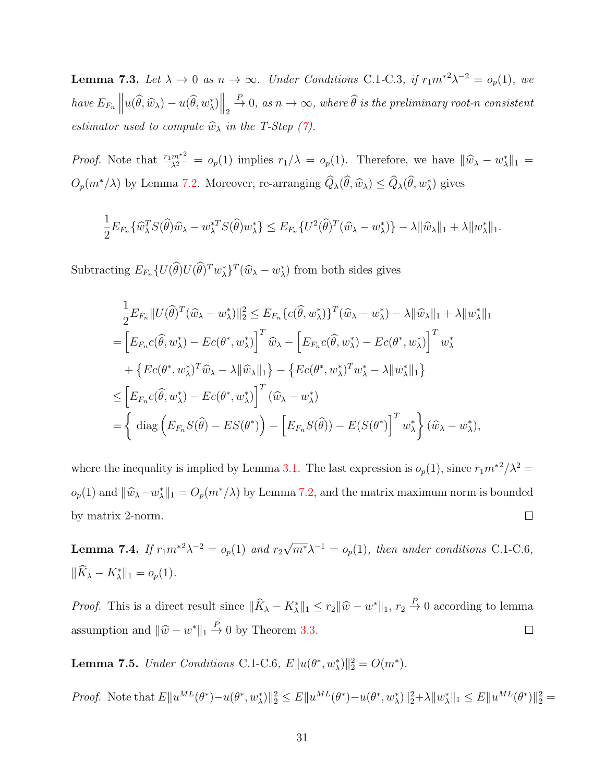<span id="page-30-0"></span>**Lemma 7.3.** Let  $\lambda \to 0$  as  $n \to \infty$ . Under Conditions C.1-C.3, if  $r_1 m^{*2} \lambda^{-2} = o_p(1)$ , we have  $E_{F_n}$  $\left\| u(\widehat{\theta}, \widehat{w}_{\lambda}) - u(\widehat{\theta}, w_{\lambda}^*) \right\|_2$  $\stackrel{P}{\rightarrow} 0$ , as  $n \rightarrow \infty$ , where  $\widehat{\theta}$  is the preliminary root-n consistent estimator used to compute  $\widehat{w}_{\lambda}$  in the T-Step [\(7\)](#page-7-4).

*Proof.* Note that  $\frac{r_1 m^{*2}}{\lambda^2} = o_p(1)$  implies  $r_1/\lambda = o_p(1)$ . Therefore, we have  $\|\widehat{w}_{\lambda} - w_{\lambda}^*\|_1 =$  $O_p(m^*/\lambda)$  by Lemma [7.2.](#page-29-0) Moreover, re-arranging  $\hat{Q}_{\lambda}(\hat{\theta}, \hat{w}_{\lambda}) \leq \hat{Q}_{\lambda}(\hat{\theta}, w_{\lambda}^*)$  gives

$$
\frac{1}{2}E_{F_n}\{\widehat{w}_\lambda^T S(\widehat{\theta})\widehat{w}_\lambda - w_\lambda^{*T} S(\widehat{\theta})w_\lambda^*\} \le E_{F_n}\{U^2(\widehat{\theta})^T(\widehat{w}_\lambda - w_\lambda^*)\} - \lambda \|\widehat{w}_\lambda\|_1 + \lambda \|w_\lambda^*\|_1.
$$

Subtracting  $E_{F_n}\lbrace U(\hat{\theta})U(\hat{\theta})^T w_{\lambda}^*\rbrace^T(\hat{w}_{\lambda} - w_{\lambda}^*)$  from both sides gives

$$
\frac{1}{2}E_{F_n}||U(\widehat{\theta})^T(\widehat{w}_{\lambda} - w_{\lambda}^*)||_2^2 \le E_{F_n}\{c(\widehat{\theta}, w_{\lambda}^*)\}^T(\widehat{w}_{\lambda} - w_{\lambda}^*) - \lambda ||\widehat{w}_{\lambda}||_1 + \lambda ||w_{\lambda}^*||_1
$$
\n
$$
= \left[E_{F_n}c(\widehat{\theta}, w_{\lambda}^*) - Ec(\theta^*, w_{\lambda}^*)\right]^T \widehat{w}_{\lambda} - \left[E_{F_n}c(\widehat{\theta}, w_{\lambda}^*) - Ec(\theta^*, w_{\lambda}^*)\right]^T w_{\lambda}^*
$$
\n
$$
+ \left\{Ec(\theta^*, w_{\lambda}^*)^T \widehat{w}_{\lambda} - \lambda ||\widehat{w}_{\lambda}||_1\right\} - \left\{Ec(\theta^*, w_{\lambda}^*)^T w_{\lambda}^* - \lambda ||w_{\lambda}^*||_1\right\}
$$
\n
$$
\le \left[E_{F_n}c(\widehat{\theta}, w_{\lambda}^*) - Ec(\theta^*, w_{\lambda}^*)\right]^T (\widehat{w}_{\lambda} - w_{\lambda}^*)
$$
\n
$$
= \left\{ \text{diag}\left(E_{F_n}S(\widehat{\theta}) - ES(\theta^*)\right) - \left[E_{F_n}S(\widehat{\theta}) - E(S(\theta^*)\right]^T w_{\lambda}^* \right\} (\widehat{w}_{\lambda} - w_{\lambda}^*),
$$

where the inequality is implied by Lemma [3.1.](#page-10-0) The last expression is  $o_p(1)$ , since  $r_1m^{*2}/\lambda^2 =$  $o_p(1)$  and  $\|\hat{w}_\lambda - w_\lambda^*\|_1 = O_p(m^*/\lambda)$  by Lemma [7.2,](#page-29-0) and the matrix maximum norm is bounded by matrix 2-norm.  $\Box$ 

<span id="page-30-1"></span>**Lemma 7.4.** If  $r_1 m^{*2} \lambda^{-2} = o_p(1)$  and  $r_2$ √  $\overline{m^*}\lambda^{-1} = o_p(1)$ , then under conditions C.1-C.6,  $\|\hat{K}_{\lambda} - K_{\lambda}^*\|_1 = o_p(1).$ 

*Proof.* This is a direct result since  $\|\widehat{K}_{\lambda} - K_{\lambda}^*\|_1 \leq r_2 \|\widehat{w} - w^*\|_1$ ,  $r_2 \stackrel{P}{\to} 0$  according to lemma assumption and  $\|\hat{w} - w^*\|_1 \stackrel{P}{\to} 0$  by Theorem [3.3.](#page-13-0)  $\Box$ 

<span id="page-30-2"></span>**Lemma 7.5.** Under Conditions C.1-C.6,  $E\|u(\theta^*, w^*_{\lambda})\|_2^2 = O(m^*).$ 

Proof. Note that  $E\|u^{ML}(\theta^*)-u(\theta^*, w^*_{\lambda})\|_2^2 \leq E\|u^{ML}(\theta^*)-u(\theta^*, w^*_{\lambda})\|_2^2 + \lambda \|w^*_{\lambda}\|_1 \leq E\|u^{ML}(\theta^*)\|_2^2 =$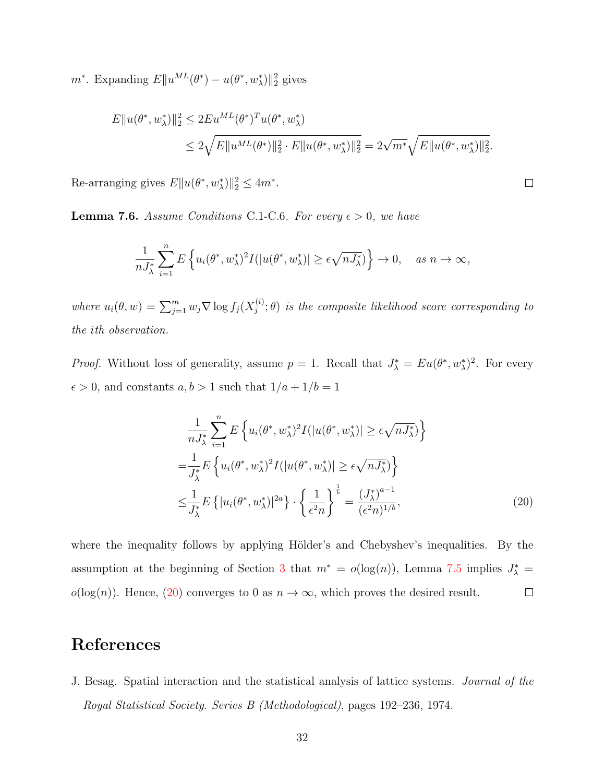$m^*$ . Expanding  $E\|u^{ML}(\theta^*) - u(\theta^*, w^*_\lambda)\|_2^2$  gives

$$
E||u(\theta^*, w^*_{\lambda})||_2^2 \le 2Eu^{ML}(\theta^*)^T u(\theta^*, w^*_{\lambda})
$$
  

$$
\le 2\sqrt{E||u^{ML}(\theta^*)||_2^2 \cdot E||u(\theta^*, w^*_{\lambda})||_2^2} = 2\sqrt{m^*}\sqrt{E||u(\theta^*, w^*_{\lambda})||_2^2}.
$$

Re-arranging gives  $E||u(\theta^*, w^*_{\lambda})||_2^2 \leq 4m^*$ .

<span id="page-31-1"></span>**Lemma 7.6.** Assume Conditions C.1-C.6. For every  $\epsilon > 0$ , we have

$$
\frac{1}{nJ_{\lambda}^{*}}\sum_{i=1}^{n}E\left\{u_{i}(\theta^{*}, w_{\lambda}^{*})^{2}I(|u(\theta^{*}, w_{\lambda}^{*})| \geq \epsilon\sqrt{nJ_{\lambda}^{*}})\right\} \to 0, \quad \text{as } n \to \infty,
$$

where  $u_i(\theta, w) = \sum_{j=1}^m w_j \nabla \log f_j(X_j^{(i)})$  $j^{(i)}$ ;  $\theta$ ) is the composite likelihood score corresponding to the ith observation.

*Proof.* Without loss of generality, assume  $p = 1$ . Recall that  $J_{\lambda}^* = Eu(\theta^*, w_{\lambda}^*)^2$ . For every  $\epsilon > 0$ , and constants  $a, b > 1$  such that  $1/a + 1/b = 1$ 

$$
\frac{1}{nJ_{\lambda}^{*}}\sum_{i=1}^{n} E\left\{u_{i}(\theta^{*}, w_{\lambda}^{*})^{2}I(|u(\theta^{*}, w_{\lambda}^{*})| \geq \epsilon\sqrt{nJ_{\lambda}^{*}})\right\}
$$
\n
$$
=\frac{1}{J_{\lambda}^{*}}E\left\{u_{i}(\theta^{*}, w_{\lambda}^{*})^{2}I(|u(\theta^{*}, w_{\lambda}^{*})| \geq \epsilon\sqrt{nJ_{\lambda}^{*}})\right\}
$$
\n
$$
\leq \frac{1}{J_{\lambda}^{*}}E\left\{|u_{i}(\theta^{*}, w_{\lambda}^{*})|^{2a}\right\} \cdot \left\{\frac{1}{\epsilon^{2}n}\right\}^{\frac{1}{b}} = \frac{(J_{\lambda}^{*})^{a-1}}{(\epsilon^{2}n)^{1/b}},
$$
\n(20)

<span id="page-31-2"></span> $\Box$ 

where the inequality follows by applying Hölder's and Chebyshev's inequalities. By the assumption at the beginning of Section [3](#page-9-0) that  $m^* = o(\log(n))$ , Lemma [7.5](#page-30-2) implies  $J^*_{\lambda} =$  $o(log(n))$ . Hence, [\(20\)](#page-31-2) converges to 0 as  $n \to \infty$ , which proves the desired result.  $\Box$ 

## References

<span id="page-31-0"></span>J. Besag. Spatial interaction and the statistical analysis of lattice systems. Journal of the Royal Statistical Society. Series B (Methodological), pages 192–236, 1974.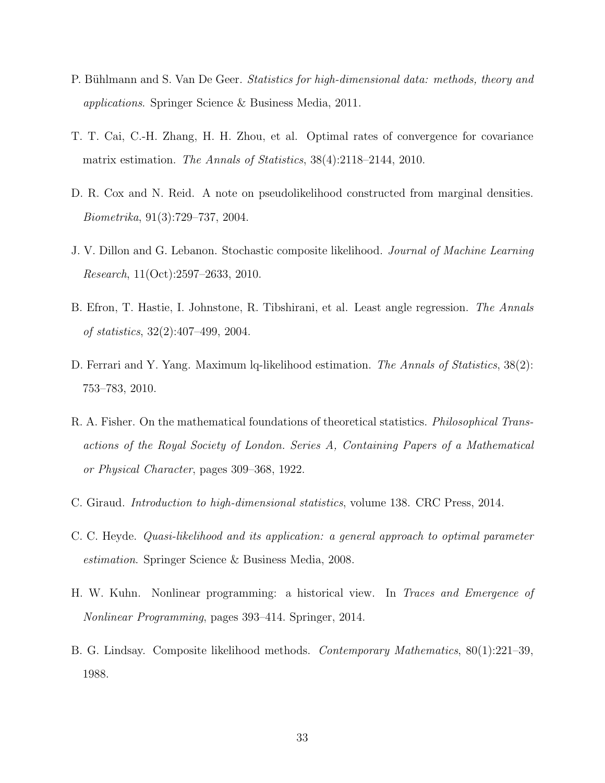- <span id="page-32-9"></span>P. Bühlmann and S. Van De Geer. Statistics for high-dimensional data: methods, theory and applications. Springer Science & Business Media, 2011.
- <span id="page-32-8"></span>T. T. Cai, C.-H. Zhang, H. H. Zhou, et al. Optimal rates of convergence for covariance matrix estimation. The Annals of Statistics, 38(4):2118–2144, 2010.
- <span id="page-32-3"></span>D. R. Cox and N. Reid. A note on pseudolikelihood constructed from marginal densities. Biometrika, 91(3):729–737, 2004.
- <span id="page-32-5"></span>J. V. Dillon and G. Lebanon. Stochastic composite likelihood. Journal of Machine Learning Research, 11(Oct):2597–2633, 2010.
- <span id="page-32-6"></span>B. Efron, T. Hastie, I. Johnstone, R. Tibshirani, et al. Least angle regression. The Annals of statistics, 32(2):407–499, 2004.
- <span id="page-32-4"></span>D. Ferrari and Y. Yang. Maximum lq-likelihood estimation. The Annals of Statistics, 38(2): 753–783, 2010.
- <span id="page-32-0"></span>R. A. Fisher. On the mathematical foundations of theoretical statistics. *Philosophical Trans*actions of the Royal Society of London. Series A, Containing Papers of a Mathematical or Physical Character, pages 309–368, 1922.
- <span id="page-32-10"></span>C. Giraud. Introduction to high-dimensional statistics, volume 138. CRC Press, 2014.
- <span id="page-32-2"></span>C. C. Heyde. Quasi-likelihood and its application: a general approach to optimal parameter estimation. Springer Science & Business Media, 2008.
- <span id="page-32-7"></span>H. W. Kuhn. Nonlinear programming: a historical view. In Traces and Emergence of Nonlinear Programming, pages 393–414. Springer, 2014.
- <span id="page-32-1"></span>B. G. Lindsay. Composite likelihood methods. Contemporary Mathematics, 80(1):221–39, 1988.